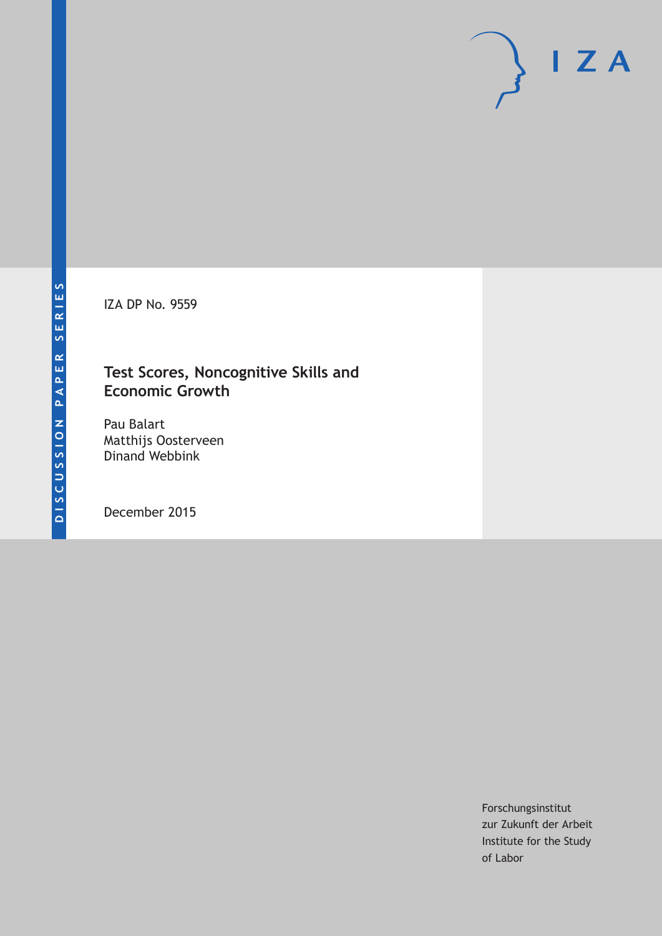IZA DP No. 9559

# **Test Scores, Noncognitive Skills and Economic Growth**

Pau Balart Matthijs Oosterveen Dinand Webbink

December 2015

Forschungsinstitut zur Zukunft der Arbeit Institute for the Study of Labor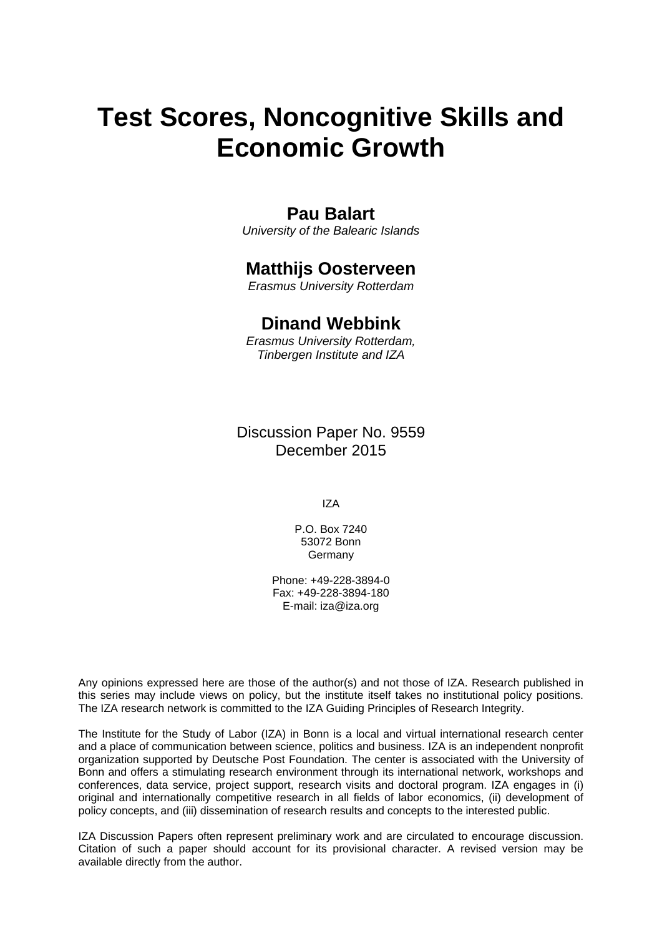# **Test Scores, Noncognitive Skills and Economic Growth**

### **Pau Balart**

*University of the Balearic Islands* 

### **Matthijs Oosterveen**

*Erasmus University Rotterdam* 

### **Dinand Webbink**

*Erasmus University Rotterdam, Tinbergen Institute and IZA*

Discussion Paper No. 9559 December 2015

IZA

P.O. Box 7240 53072 Bonn Germany

Phone: +49-228-3894-0 Fax: +49-228-3894-180 E-mail: iza@iza.org

Any opinions expressed here are those of the author(s) and not those of IZA. Research published in this series may include views on policy, but the institute itself takes no institutional policy positions. The IZA research network is committed to the IZA Guiding Principles of Research Integrity.

The Institute for the Study of Labor (IZA) in Bonn is a local and virtual international research center and a place of communication between science, politics and business. IZA is an independent nonprofit organization supported by Deutsche Post Foundation. The center is associated with the University of Bonn and offers a stimulating research environment through its international network, workshops and conferences, data service, project support, research visits and doctoral program. IZA engages in (i) original and internationally competitive research in all fields of labor economics, (ii) development of policy concepts, and (iii) dissemination of research results and concepts to the interested public.

IZA Discussion Papers often represent preliminary work and are circulated to encourage discussion. Citation of such a paper should account for its provisional character. A revised version may be available directly from the author.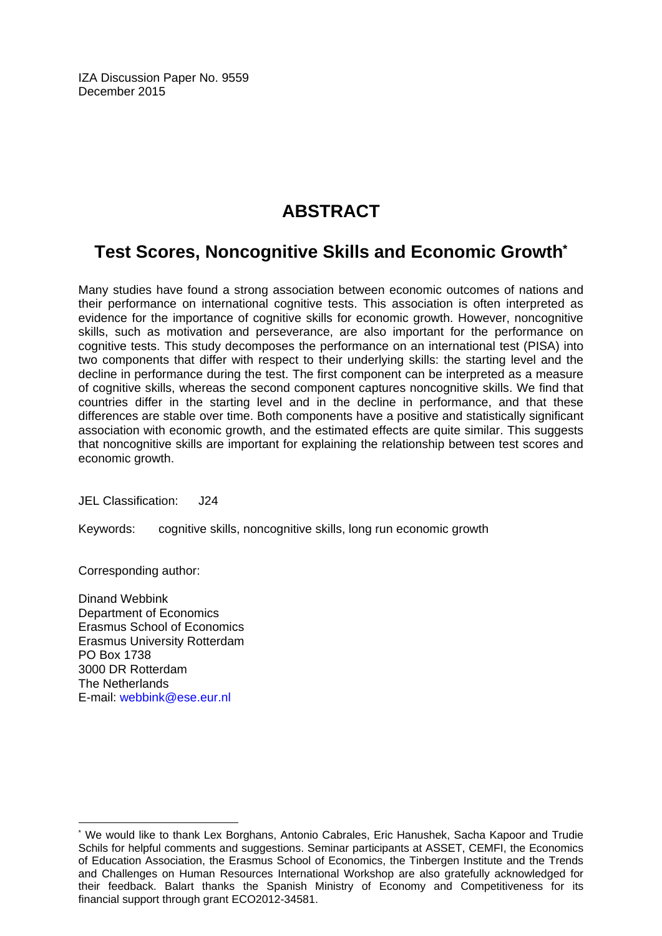IZA Discussion Paper No. 9559 December 2015

# **ABSTRACT**

# **Test Scores, Noncognitive Skills and Economic Growth\***

Many studies have found a strong association between economic outcomes of nations and their performance on international cognitive tests. This association is often interpreted as evidence for the importance of cognitive skills for economic growth. However, noncognitive skills, such as motivation and perseverance, are also important for the performance on cognitive tests. This study decomposes the performance on an international test (PISA) into two components that differ with respect to their underlying skills: the starting level and the decline in performance during the test. The first component can be interpreted as a measure of cognitive skills, whereas the second component captures noncognitive skills. We find that countries differ in the starting level and in the decline in performance, and that these differences are stable over time. Both components have a positive and statistically significant association with economic growth, and the estimated effects are quite similar. This suggests that noncognitive skills are important for explaining the relationship between test scores and economic growth.

JEL Classification: J24

Keywords: cognitive skills, noncognitive skills, long run economic growth

Corresponding author:

 $\overline{a}$ 

Dinand Webbink Department of Economics Erasmus School of Economics Erasmus University Rotterdam PO Box 1738 3000 DR Rotterdam The Netherlands E-mail: webbink@ese.eur.nl

<sup>\*</sup> We would like to thank Lex Borghans, Antonio Cabrales, Eric Hanushek, Sacha Kapoor and Trudie Schils for helpful comments and suggestions. Seminar participants at ASSET, CEMFI, the Economics of Education Association, the Erasmus School of Economics, the Tinbergen Institute and the Trends and Challenges on Human Resources International Workshop are also gratefully acknowledged for their feedback. Balart thanks the Spanish Ministry of Economy and Competitiveness for its financial support through grant ECO2012-34581.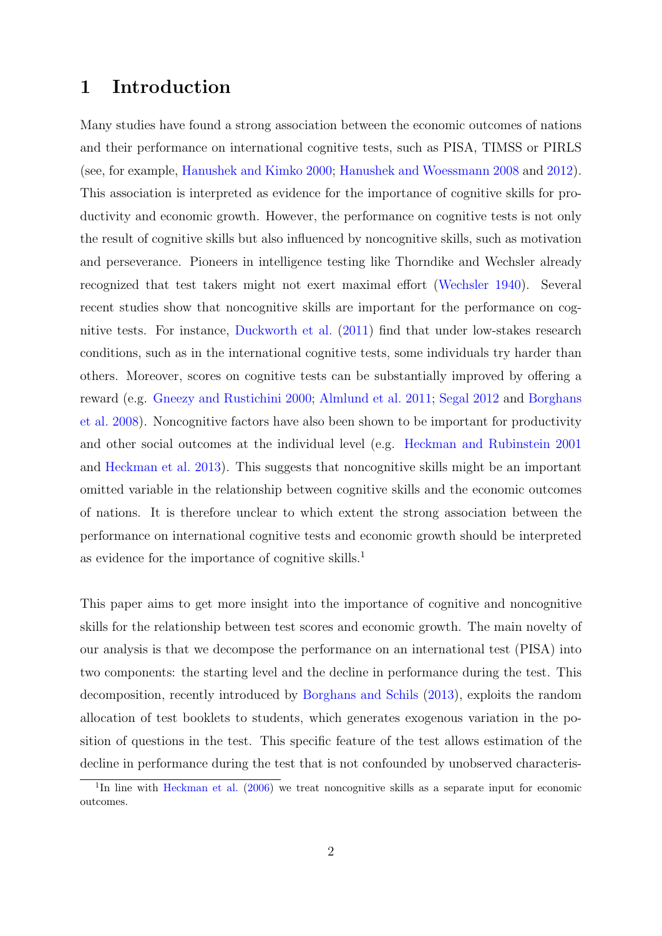## 1 Introduction

Many studies have found a strong association between the economic outcomes of nations and their performance on international cognitive tests, such as PISA, TIMSS or PIRLS (see, for example, [Hanushek and Kimko](#page-25-0) [2000;](#page-25-0) [Hanushek and Woessmann](#page-25-1) [2008](#page-25-1) and [2012\)](#page-25-2). This association is interpreted as evidence for the importance of cognitive skills for productivity and economic growth. However, the performance on cognitive tests is not only the result of cognitive skills but also influenced by noncognitive skills, such as motivation and perseverance. Pioneers in intelligence testing like Thorndike and Wechsler already recognized that test takers might not exert maximal effort [\(Wechsler](#page-27-0) [1940\)](#page-27-0). Several recent studies show that noncognitive skills are important for the performance on cognitive tests. For instance, [Duckworth et al.](#page-25-3) [\(2011\)](#page-25-3) find that under low-stakes research conditions, such as in the international cognitive tests, some individuals try harder than others. Moreover, scores on cognitive tests can be substantially improved by offering a reward (e.g. [Gneezy and Rustichini](#page-25-4) [2000;](#page-25-4) [Almlund et al.](#page-24-0) [2011;](#page-24-0) [Segal](#page-26-0) [2012](#page-26-0) and [Borghans](#page-25-5) [et al.](#page-25-5) [2008\)](#page-25-5). Noncognitive factors have also been shown to be important for productivity and other social outcomes at the individual level (e.g. [Heckman and Rubinstein](#page-26-1) [2001](#page-26-1) and [Heckman et al.](#page-25-6) [2013\)](#page-25-6). This suggests that noncognitive skills might be an important omitted variable in the relationship between cognitive skills and the economic outcomes of nations. It is therefore unclear to which extent the strong association between the performance on international cognitive tests and economic growth should be interpreted as evidence for the importance of cognitive skills.<sup>[1](#page-3-0)</sup>

This paper aims to get more insight into the importance of cognitive and noncognitive skills for the relationship between test scores and economic growth. The main novelty of our analysis is that we decompose the performance on an international test (PISA) into two components: the starting level and the decline in performance during the test. This decomposition, recently introduced by [Borghans and Schils](#page-25-7) [\(2013\)](#page-25-7), exploits the random allocation of test booklets to students, which generates exogenous variation in the position of questions in the test. This specific feature of the test allows estimation of the decline in performance during the test that is not confounded by unobserved characteris-

<span id="page-3-0"></span><sup>&</sup>lt;sup>1</sup>In line with [Heckman et al.](#page-26-2) [\(2006\)](#page-26-2) we treat noncognitive skills as a separate input for economic outcomes.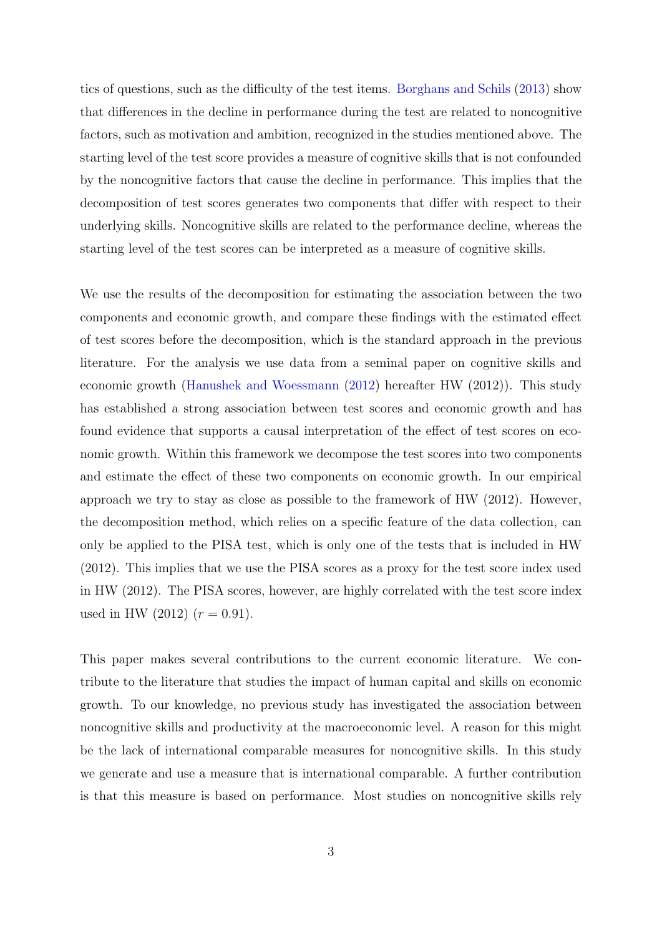tics of questions, such as the difficulty of the test items. [Borghans and Schils](#page-25-7) [\(2013\)](#page-25-7) show that differences in the decline in performance during the test are related to noncognitive factors, such as motivation and ambition, recognized in the studies mentioned above. The starting level of the test score provides a measure of cognitive skills that is not confounded by the noncognitive factors that cause the decline in performance. This implies that the decomposition of test scores generates two components that differ with respect to their underlying skills. Noncognitive skills are related to the performance decline, whereas the starting level of the test scores can be interpreted as a measure of cognitive skills.

We use the results of the decomposition for estimating the association between the two components and economic growth, and compare these findings with the estimated effect of test scores before the decomposition, which is the standard approach in the previous literature. For the analysis we use data from a seminal paper on cognitive skills and economic growth [\(Hanushek and Woessmann](#page-25-2) [\(2012\)](#page-25-2) hereafter HW (2012)). This study has established a strong association between test scores and economic growth and has found evidence that supports a causal interpretation of the effect of test scores on economic growth. Within this framework we decompose the test scores into two components and estimate the effect of these two components on economic growth. In our empirical approach we try to stay as close as possible to the framework of HW (2012). However, the decomposition method, which relies on a specific feature of the data collection, can only be applied to the PISA test, which is only one of the tests that is included in HW (2012). This implies that we use the PISA scores as a proxy for the test score index used in HW (2012). The PISA scores, however, are highly correlated with the test score index used in HW (2012)  $(r = 0.91)$ .

This paper makes several contributions to the current economic literature. We contribute to the literature that studies the impact of human capital and skills on economic growth. To our knowledge, no previous study has investigated the association between noncognitive skills and productivity at the macroeconomic level. A reason for this might be the lack of international comparable measures for noncognitive skills. In this study we generate and use a measure that is international comparable. A further contribution is that this measure is based on performance. Most studies on noncognitive skills rely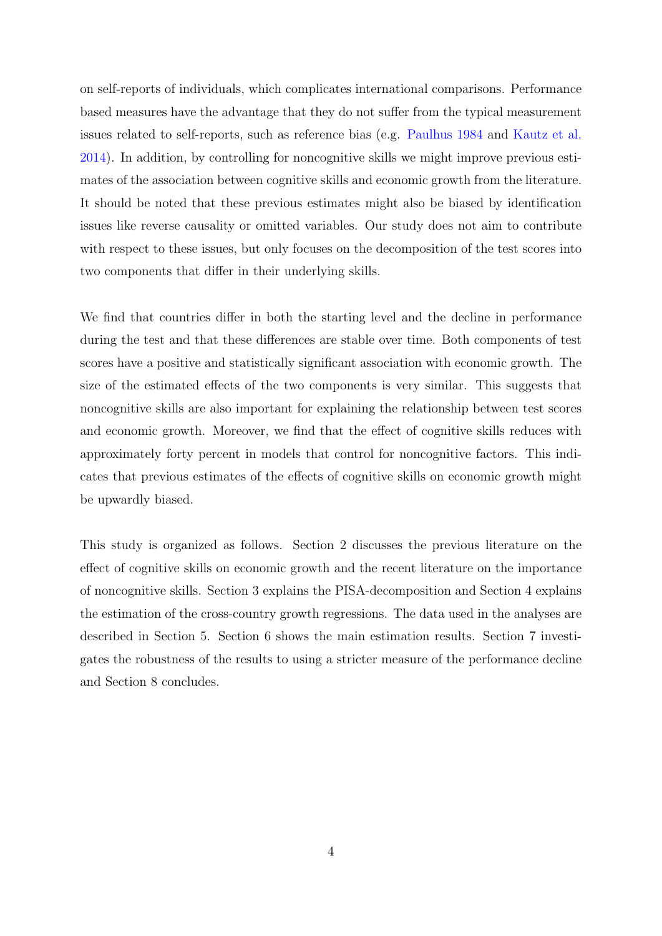on self-reports of individuals, which complicates international comparisons. Performance based measures have the advantage that they do not suffer from the typical measurement issues related to self-reports, such as reference bias (e.g. [Paulhus](#page-26-3) [1984](#page-26-3) and [Kautz et al.](#page-26-4) [2014\)](#page-26-4). In addition, by controlling for noncognitive skills we might improve previous estimates of the association between cognitive skills and economic growth from the literature. It should be noted that these previous estimates might also be biased by identification issues like reverse causality or omitted variables. Our study does not aim to contribute with respect to these issues, but only focuses on the decomposition of the test scores into two components that differ in their underlying skills.

We find that countries differ in both the starting level and the decline in performance during the test and that these differences are stable over time. Both components of test scores have a positive and statistically significant association with economic growth. The size of the estimated effects of the two components is very similar. This suggests that noncognitive skills are also important for explaining the relationship between test scores and economic growth. Moreover, we find that the effect of cognitive skills reduces with approximately forty percent in models that control for noncognitive factors. This indicates that previous estimates of the effects of cognitive skills on economic growth might be upwardly biased.

This study is organized as follows. Section [2](#page-6-0) discusses the previous literature on the effect of cognitive skills on economic growth and the recent literature on the importance of noncognitive skills. Section [3](#page-9-0) explains the PISA-decomposition and Section [4](#page-14-0) explains the estimation of the cross-country growth regressions. The data used in the analyses are described in Section [5.](#page-15-0) Section [6](#page-16-0) shows the main estimation results. Section [7](#page-21-0) investigates the robustness of the results to using a stricter measure of the performance decline and Section [8](#page-23-0) concludes.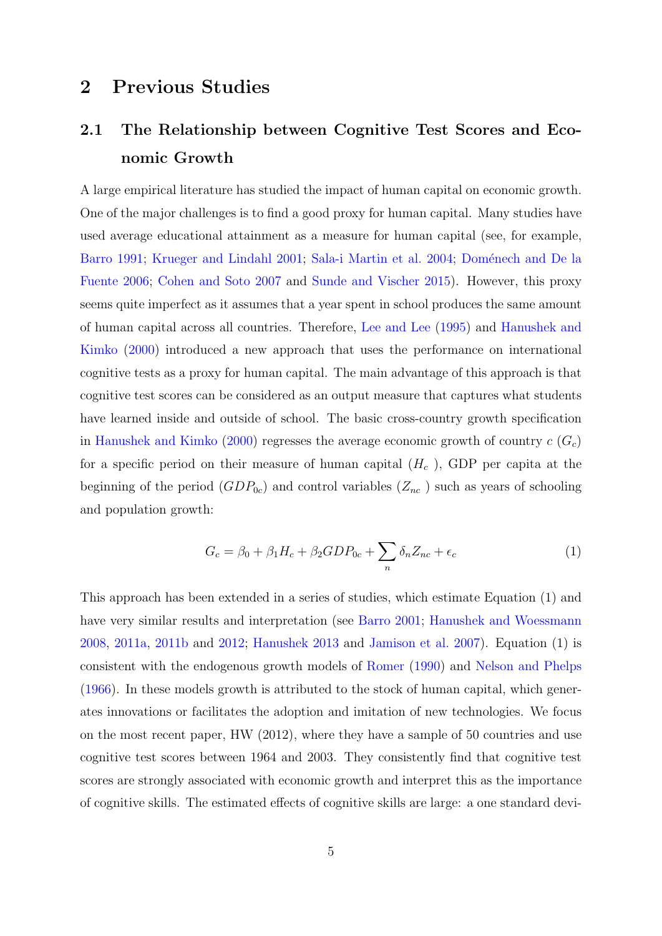## <span id="page-6-0"></span>2 Previous Studies

# <span id="page-6-2"></span>2.1 The Relationship between Cognitive Test Scores and Economic Growth

A large empirical literature has studied the impact of human capital on economic growth. One of the major challenges is to find a good proxy for human capital. Many studies have used average educational attainment as a measure for human capital (see, for example, [Barro](#page-24-1) [1991;](#page-24-1) [Krueger and Lindahl](#page-26-5) [2001;](#page-26-5) [Sala-i Martin et al.](#page-26-6) [2004;](#page-26-6) Doménech and De la [Fuente](#page-25-8) [2006;](#page-25-8) [Cohen and Soto](#page-25-9) [2007](#page-25-9) and [Sunde and Vischer](#page-27-1) [2015\)](#page-27-1). However, this proxy seems quite imperfect as it assumes that a year spent in school produces the same amount of human capital across all countries. Therefore, [Lee and Lee](#page-26-7) [\(1995\)](#page-26-7) and [Hanushek and](#page-25-0) [Kimko](#page-25-0) [\(2000\)](#page-25-0) introduced a new approach that uses the performance on international cognitive tests as a proxy for human capital. The main advantage of this approach is that cognitive test scores can be considered as an output measure that captures what students have learned inside and outside of school. The basic cross-country growth specification in [Hanushek and Kimko](#page-25-0) [\(2000\)](#page-25-0) regresses the average economic growth of country  $c(G_c)$ for a specific period on their measure of human capital  $(H_c)$ , GDP per capita at the beginning of the period  $(GDP_{0c})$  and control variables  $(Z_{nc})$  such as years of schooling and population growth:

<span id="page-6-1"></span>
$$
G_c = \beta_0 + \beta_1 H_c + \beta_2 GDP_{0c} + \sum_n \delta_n Z_{nc} + \epsilon_c \tag{1}
$$

This approach has been extended in a series of studies, which estimate Equation (1) and have very similar results and interpretation (see [Barro](#page-24-2) [2001;](#page-24-2) [Hanushek and Woessmann](#page-25-1) [2008,](#page-25-1) [2011a,](#page-25-10) [2011b](#page-25-11) and [2012;](#page-25-2) [Hanushek](#page-25-12) [2013](#page-25-12) and [Jamison et al.](#page-26-8) [2007\)](#page-26-8). Equation [\(1\)](#page-6-1) is consistent with the endogenous growth models of [Romer](#page-26-9) [\(1990\)](#page-26-9) and [Nelson and Phelps](#page-26-10) [\(1966\)](#page-26-10). In these models growth is attributed to the stock of human capital, which generates innovations or facilitates the adoption and imitation of new technologies. We focus on the most recent paper, HW (2012), where they have a sample of 50 countries and use cognitive test scores between 1964 and 2003. They consistently find that cognitive test scores are strongly associated with economic growth and interpret this as the importance of cognitive skills. The estimated effects of cognitive skills are large: a one standard devi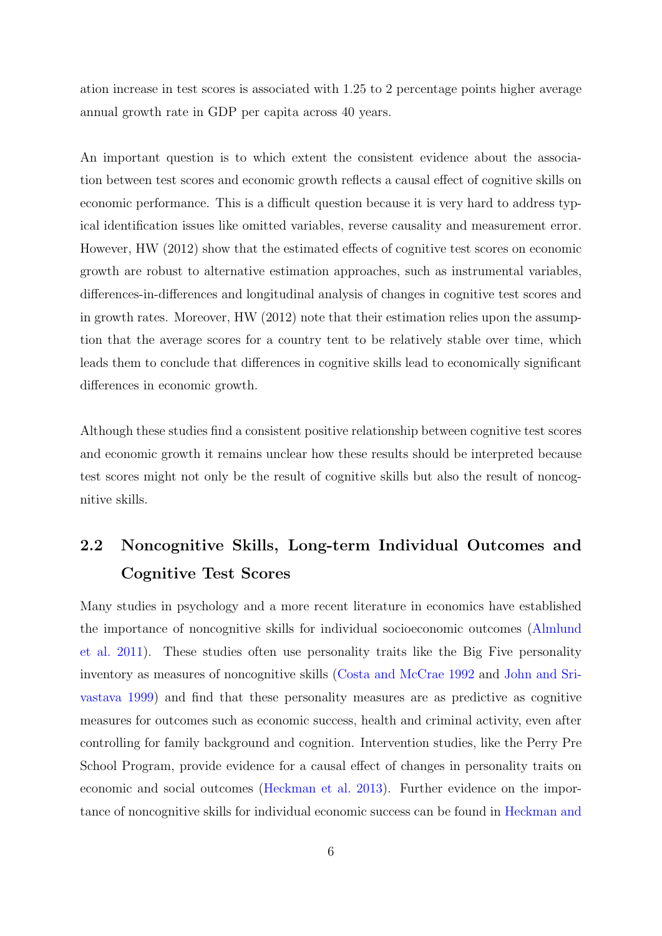ation increase in test scores is associated with 1.25 to 2 percentage points higher average annual growth rate in GDP per capita across 40 years.

An important question is to which extent the consistent evidence about the association between test scores and economic growth reflects a causal effect of cognitive skills on economic performance. This is a difficult question because it is very hard to address typical identification issues like omitted variables, reverse causality and measurement error. However, HW (2012) show that the estimated effects of cognitive test scores on economic growth are robust to alternative estimation approaches, such as instrumental variables, differences-in-differences and longitudinal analysis of changes in cognitive test scores and in growth rates. Moreover, HW (2012) note that their estimation relies upon the assumption that the average scores for a country tent to be relatively stable over time, which leads them to conclude that differences in cognitive skills lead to economically significant differences in economic growth.

Although these studies find a consistent positive relationship between cognitive test scores and economic growth it remains unclear how these results should be interpreted because test scores might not only be the result of cognitive skills but also the result of noncognitive skills.

# 2.2 Noncognitive Skills, Long-term Individual Outcomes and Cognitive Test Scores

Many studies in psychology and a more recent literature in economics have established the importance of noncognitive skills for individual socioeconomic outcomes [\(Almlund](#page-24-0) [et al.](#page-24-0) [2011\)](#page-24-0). These studies often use personality traits like the Big Five personality inventory as measures of noncognitive skills [\(Costa and McCrae](#page-25-13) [1992](#page-25-13) and [John and Sri](#page-26-11)[vastava](#page-26-11) [1999\)](#page-26-11) and find that these personality measures are as predictive as cognitive measures for outcomes such as economic success, health and criminal activity, even after controlling for family background and cognition. Intervention studies, like the Perry Pre School Program, provide evidence for a causal effect of changes in personality traits on economic and social outcomes [\(Heckman et al.](#page-25-6) [2013\)](#page-25-6). Further evidence on the importance of noncognitive skills for individual economic success can be found in [Heckman and](#page-26-1)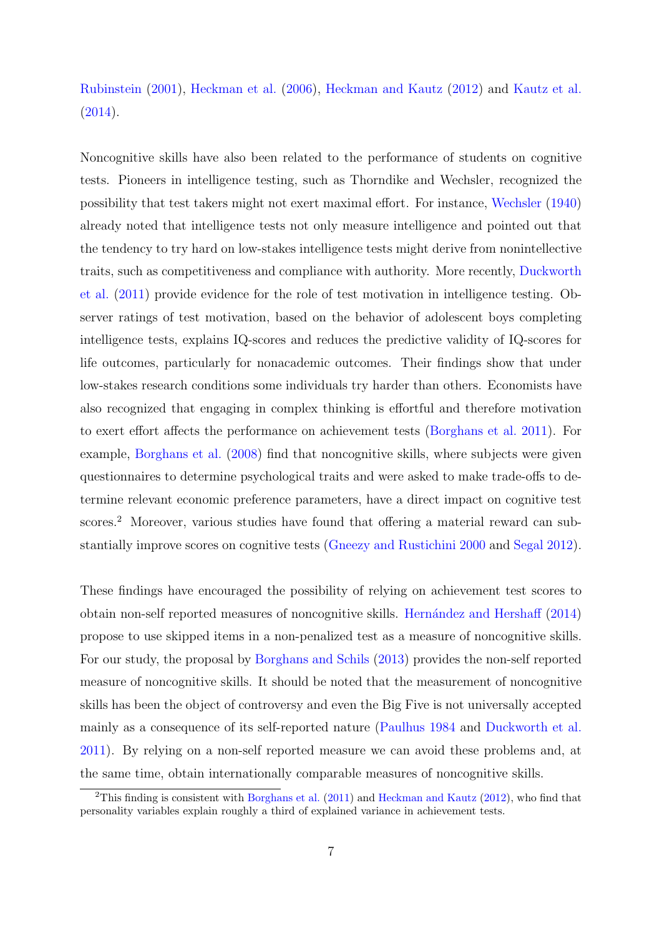### [Rubinstein](#page-26-1) [\(2001\)](#page-26-1), [Heckman et al.](#page-26-2) [\(2006\)](#page-26-2), [Heckman and Kautz](#page-26-12) [\(2012\)](#page-26-12) and [Kautz et al.](#page-26-4)  $(2014).$  $(2014).$

Noncognitive skills have also been related to the performance of students on cognitive tests. Pioneers in intelligence testing, such as Thorndike and Wechsler, recognized the possibility that test takers might not exert maximal effort. For instance, [Wechsler](#page-27-0) [\(1940\)](#page-27-0) already noted that intelligence tests not only measure intelligence and pointed out that the tendency to try hard on low-stakes intelligence tests might derive from nonintellective traits, such as competitiveness and compliance with authority. More recently, [Duckworth](#page-25-3) [et al.](#page-25-3) [\(2011\)](#page-25-3) provide evidence for the role of test motivation in intelligence testing. Observer ratings of test motivation, based on the behavior of adolescent boys completing intelligence tests, explains IQ-scores and reduces the predictive validity of IQ-scores for life outcomes, particularly for nonacademic outcomes. Their findings show that under low-stakes research conditions some individuals try harder than others. Economists have also recognized that engaging in complex thinking is effortful and therefore motivation to exert effort affects the performance on achievement tests [\(Borghans et al.](#page-24-3) [2011\)](#page-24-3). For example, [Borghans et al.](#page-25-5) [\(2008\)](#page-25-5) find that noncognitive skills, where subjects were given questionnaires to determine psychological traits and were asked to make trade-offs to determine relevant economic preference parameters, have a direct impact on cognitive test scores.<sup>[2](#page-8-0)</sup> Moreover, various studies have found that offering a material reward can substantially improve scores on cognitive tests [\(Gneezy and Rustichini](#page-25-4) [2000](#page-25-4) and [Segal](#page-26-0) [2012\)](#page-26-0).

These findings have encouraged the possibility of relying on achievement test scores to obtain non-self reported measures of noncognitive skills. [Hern´andez and Hershaff](#page-26-13) [\(2014\)](#page-26-13) propose to use skipped items in a non-penalized test as a measure of noncognitive skills. For our study, the proposal by [Borghans and Schils](#page-25-7) [\(2013\)](#page-25-7) provides the non-self reported measure of noncognitive skills. It should be noted that the measurement of noncognitive skills has been the object of controversy and even the Big Five is not universally accepted mainly as a consequence of its self-reported nature [\(Paulhus](#page-26-3) [1984](#page-26-3) and [Duckworth et al.](#page-25-3) [2011\)](#page-25-3). By relying on a non-self reported measure we can avoid these problems and, at the same time, obtain internationally comparable measures of noncognitive skills.

<span id="page-8-0"></span><sup>&</sup>lt;sup>2</sup>This finding is consistent with [Borghans et al.](#page-24-3) [\(2011\)](#page-24-3) and [Heckman and Kautz](#page-26-12) [\(2012\)](#page-26-12), who find that personality variables explain roughly a third of explained variance in achievement tests.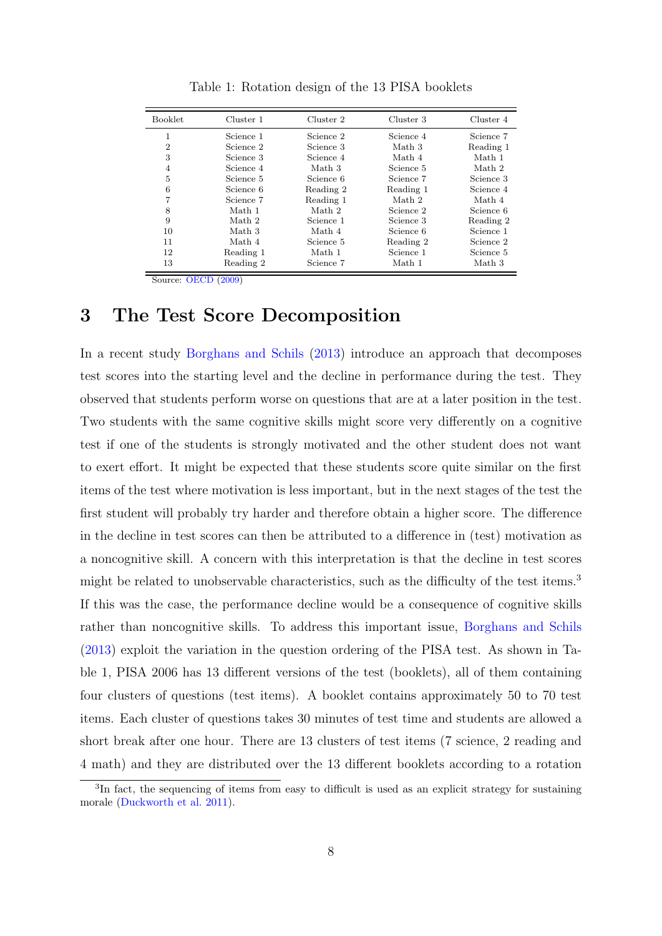<span id="page-9-2"></span>

| <b>Booklet</b> | Cluster 1 | Cluster 2 | Cluster 3 | Cluster 4 |
|----------------|-----------|-----------|-----------|-----------|
| 1              | Science 1 | Science 2 | Science 4 | Science 7 |
| $\overline{2}$ | Science 2 | Science 3 | Math 3    | Reading 1 |
| 3              | Science 3 | Science 4 | Math 4    | Math 1    |
| $\overline{4}$ | Science 4 | Math 3    | Science 5 | Math 2    |
| 5              | Science 5 | Science 6 | Science 7 | Science 3 |
| 6              | Science 6 | Reading 2 | Reading 1 | Science 4 |
| 7              | Science 7 | Reading 1 | Math 2    | Math 4    |
| 8              | Math 1    | Math 2    | Science 2 | Science 6 |
| 9              | Math 2    | Science 1 | Science 3 | Reading 2 |
| 10             | Math 3    | Math 4    | Science 6 | Science 1 |
| 11             | Math 4    | Science 5 | Reading 2 | Science 2 |
| 12             | Reading 1 | Math 1    | Science 1 | Science 5 |
| 13             | Reading 2 | Science 7 | Math 1    | Math 3    |
|                |           |           |           |           |

Table 1: Rotation design of the 13 PISA booklets

Source: [OECD](#page-26-14) [\(2009\)](#page-26-14)

### <span id="page-9-0"></span>3 The Test Score Decomposition

In a recent study [Borghans and Schils](#page-25-7) [\(2013\)](#page-25-7) introduce an approach that decomposes test scores into the starting level and the decline in performance during the test. They observed that students perform worse on questions that are at a later position in the test. Two students with the same cognitive skills might score very differently on a cognitive test if one of the students is strongly motivated and the other student does not want to exert effort. It might be expected that these students score quite similar on the first items of the test where motivation is less important, but in the next stages of the test the first student will probably try harder and therefore obtain a higher score. The difference in the decline in test scores can then be attributed to a difference in (test) motivation as a noncognitive skill. A concern with this interpretation is that the decline in test scores might be related to unobservable characteristics, such as the difficulty of the test items.<sup>[3](#page-9-1)</sup> If this was the case, the performance decline would be a consequence of cognitive skills rather than noncognitive skills. To address this important issue, [Borghans and Schils](#page-25-7) [\(2013\)](#page-25-7) exploit the variation in the question ordering of the PISA test. As shown in Table [1,](#page-9-2) PISA 2006 has 13 different versions of the test (booklets), all of them containing four clusters of questions (test items). A booklet contains approximately 50 to 70 test items. Each cluster of questions takes 30 minutes of test time and students are allowed a short break after one hour. There are 13 clusters of test items (7 science, 2 reading and 4 math) and they are distributed over the 13 different booklets according to a rotation

<span id="page-9-1"></span><sup>3</sup> In fact, the sequencing of items from easy to difficult is used as an explicit strategy for sustaining morale [\(Duckworth et al.](#page-25-3) [2011\)](#page-25-3).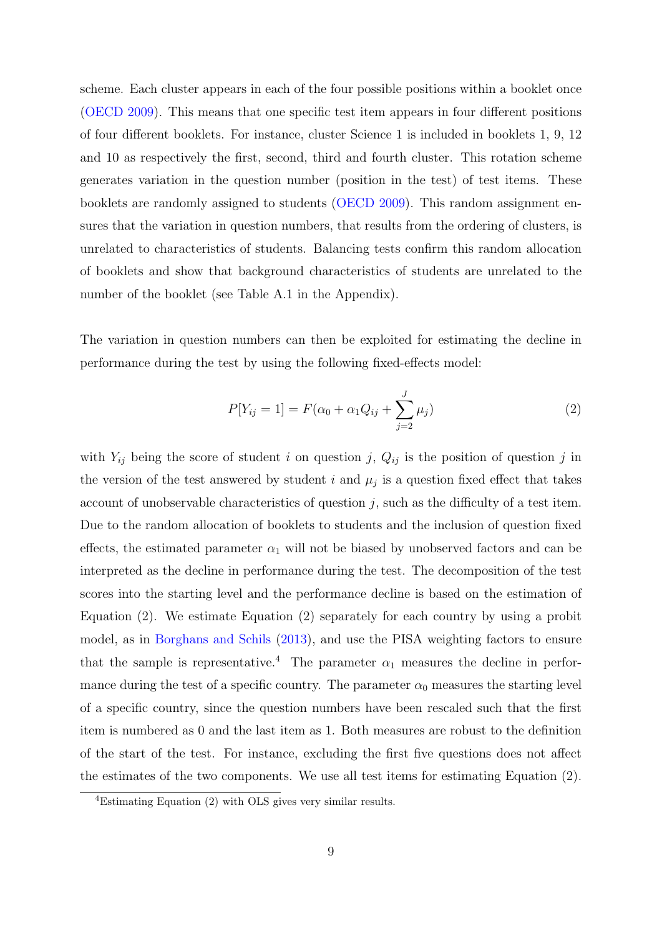scheme. Each cluster appears in each of the four possible positions within a booklet once [\(OECD](#page-26-14) [2009\)](#page-26-14). This means that one specific test item appears in four different positions of four different booklets. For instance, cluster Science 1 is included in booklets 1, 9, 12 and 10 as respectively the first, second, third and fourth cluster. This rotation scheme generates variation in the question number (position in the test) of test items. These booklets are randomly assigned to students [\(OECD](#page-26-14) [2009\)](#page-26-14). This random assignment ensures that the variation in question numbers, that results from the ordering of clusters, is unrelated to characteristics of students. Balancing tests confirm this random allocation of booklets and show that background characteristics of students are unrelated to the number of the booklet (see Table [A.1](#page-28-0) in the Appendix).

The variation in question numbers can then be exploited for estimating the decline in performance during the test by using the following fixed-effects model:

<span id="page-10-0"></span>
$$
P[Y_{ij} = 1] = F(\alpha_0 + \alpha_1 Q_{ij} + \sum_{j=2}^{J} \mu_j)
$$
\n(2)

with  $Y_{ij}$  being the score of student i on question j,  $Q_{ij}$  is the position of question j in the version of the test answered by student i and  $\mu_j$  is a question fixed effect that takes account of unobservable characteristics of question  $j$ , such as the difficulty of a test item. Due to the random allocation of booklets to students and the inclusion of question fixed effects, the estimated parameter  $\alpha_1$  will not be biased by unobserved factors and can be interpreted as the decline in performance during the test. The decomposition of the test scores into the starting level and the performance decline is based on the estimation of Equation [\(2\)](#page-10-0). We estimate Equation [\(2\)](#page-10-0) separately for each country by using a probit model, as in [Borghans and Schils](#page-25-7) [\(2013\)](#page-25-7), and use the PISA weighting factors to ensure that the sample is representative.<sup>[4](#page-10-1)</sup> The parameter  $\alpha_1$  measures the decline in performance during the test of a specific country. The parameter  $\alpha_0$  measures the starting level of a specific country, since the question numbers have been rescaled such that the first item is numbered as 0 and the last item as 1. Both measures are robust to the definition of the start of the test. For instance, excluding the first five questions does not affect the estimates of the two components. We use all test items for estimating Equation [\(2\)](#page-10-0).

<span id="page-10-1"></span><sup>4</sup>Estimating Equation [\(2\)](#page-10-0) with OLS gives very similar results.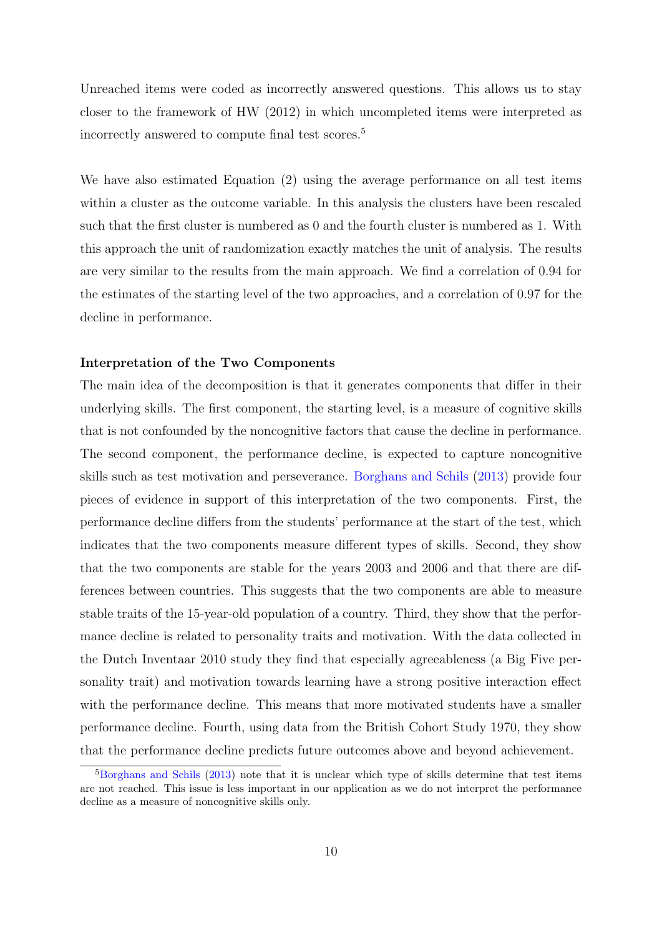Unreached items were coded as incorrectly answered questions. This allows us to stay closer to the framework of HW (2012) in which uncompleted items were interpreted as incorrectly answered to compute final test scores.[5](#page-11-0)

We have also estimated Equation [\(2\)](#page-10-0) using the average performance on all test items within a cluster as the outcome variable. In this analysis the clusters have been rescaled such that the first cluster is numbered as 0 and the fourth cluster is numbered as 1. With this approach the unit of randomization exactly matches the unit of analysis. The results are very similar to the results from the main approach. We find a correlation of 0.94 for the estimates of the starting level of the two approaches, and a correlation of 0.97 for the decline in performance.

#### Interpretation of the Two Components

The main idea of the decomposition is that it generates components that differ in their underlying skills. The first component, the starting level, is a measure of cognitive skills that is not confounded by the noncognitive factors that cause the decline in performance. The second component, the performance decline, is expected to capture noncognitive skills such as test motivation and perseverance. [Borghans and Schils](#page-25-7) [\(2013\)](#page-25-7) provide four pieces of evidence in support of this interpretation of the two components. First, the performance decline differs from the students' performance at the start of the test, which indicates that the two components measure different types of skills. Second, they show that the two components are stable for the years 2003 and 2006 and that there are differences between countries. This suggests that the two components are able to measure stable traits of the 15-year-old population of a country. Third, they show that the performance decline is related to personality traits and motivation. With the data collected in the Dutch Inventaar 2010 study they find that especially agreeableness (a Big Five personality trait) and motivation towards learning have a strong positive interaction effect with the performance decline. This means that more motivated students have a smaller performance decline. Fourth, using data from the British Cohort Study 1970, they show that the performance decline predicts future outcomes above and beyond achievement.

<span id="page-11-0"></span> $5$ [Borghans and Schils](#page-25-7) [\(2013\)](#page-25-7) note that it is unclear which type of skills determine that test items are not reached. This issue is less important in our application as we do not interpret the performance decline as a measure of noncognitive skills only.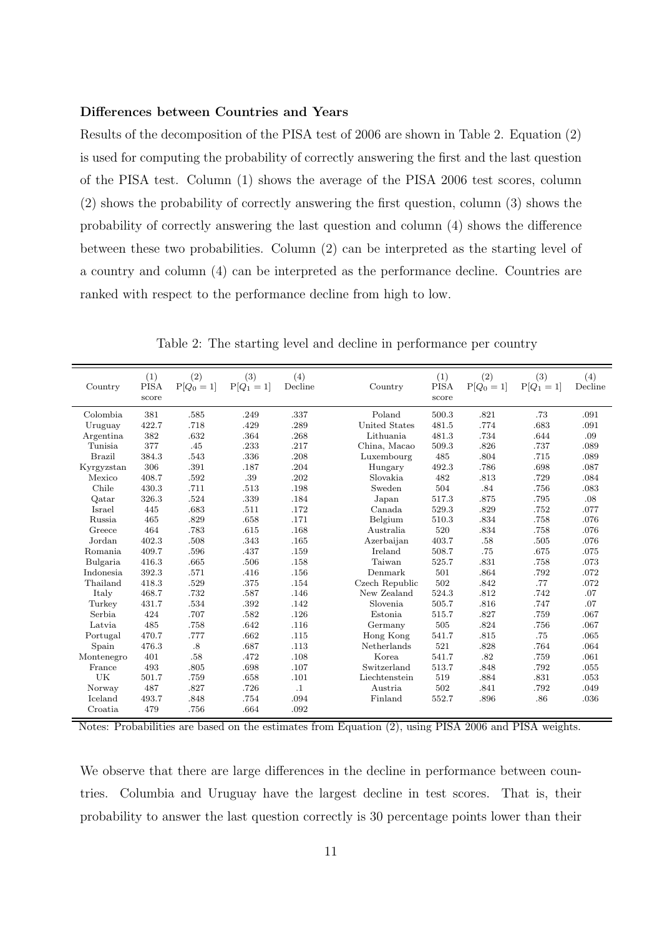#### Differences between Countries and Years

Results of the decomposition of the PISA test of 2006 are shown in Table [2.](#page-12-0) Equation [\(2\)](#page-10-0) is used for computing the probability of correctly answering the first and the last question of the PISA test. Column (1) shows the average of the PISA 2006 test scores, column (2) shows the probability of correctly answering the first question, column (3) shows the probability of correctly answering the last question and column (4) shows the difference between these two probabilities. Column (2) can be interpreted as the starting level of a country and column (4) can be interpreted as the performance decline. Countries are ranked with respect to the performance decline from high to low.

<span id="page-12-0"></span>

| Country       | (1)<br><b>PISA</b><br>score | (2)<br>$P[Q_0 = 1]$ | (3)<br>$P[Q_1 = 1]$ | (4)<br>Decline | Country        | (1)<br><b>PISA</b><br>score | (2)<br>$P[Q_0 = 1]$ | (3)<br>$P[Q_1 = 1]$ | (4)<br>Decline |
|---------------|-----------------------------|---------------------|---------------------|----------------|----------------|-----------------------------|---------------------|---------------------|----------------|
| Colombia      | 381                         | .585                | .249                | .337           | Poland         | 500.3                       | .821                | .73                 | .091           |
| Uruguay       | 422.7                       | .718                | .429                | .289           | United States  | 481.5                       | .774                | .683                | .091           |
| Argentina     | 382                         | .632                | .364                | .268           | Lithuania      | 481.3                       | .734                | .644                | .09            |
| Tunisia       | 377                         | .45                 | .233                | .217           | China, Macao   | 509.3                       | .826                | .737                | .089           |
| <b>Brazil</b> | 384.3                       | .543                | .336                | .208           | Luxembourg     | 485                         | .804                | .715                | .089           |
| Kyrgyzstan    | 306                         | .391                | .187                | .204           | Hungary        | 492.3                       | .786                | .698                | .087           |
| Mexico        | 408.7                       | .592                | .39                 | .202           | Slovakia       | 482                         | .813                | .729                | .084           |
| Chile         | 430.3                       | .711                | .513                | .198           | Sweden         | 504                         | .84                 | .756                | .083           |
| Qatar         | 326.3                       | .524                | .339                | .184           | Japan          | 517.3                       | .875                | .795                | .08            |
| Israel        | 445                         | .683                | .511                | .172           | Canada         | 529.3                       | .829                | .752                | .077           |
| Russia        | 465                         | .829                | .658                | .171           | Belgium        | 510.3                       | .834                | .758                | .076           |
| Greece        | 464                         | .783                | .615                | .168           | Australia      | 520                         | .834                | .758                | .076           |
| Jordan        | 402.3                       | .508                | .343                | .165           | Azerbaijan     | 403.7                       | .58                 | .505                | .076           |
| Romania       | 409.7                       | .596                | .437                | .159           | Ireland        | 508.7                       | .75                 | .675                | .075           |
| Bulgaria      | 416.3                       | .665                | .506                | .158           | Taiwan         | 525.7                       | .831                | .758                | .073           |
| Indonesia     | 392.3                       | .571                | .416                | .156           | Denmark        | 501                         | .864                | .792                | .072           |
| Thailand      | 418.3                       | .529                | .375                | .154           | Czech Republic | 502                         | .842                | .77                 | .072           |
| Italy         | 468.7                       | .732                | .587                | .146           | New Zealand    | 524.3                       | .812                | .742                | .07            |
| Turkey        | 431.7                       | .534                | .392                | .142           | Slovenia       | 505.7                       | .816                | .747                | .07            |
| Serbia        | 424                         | .707                | .582                | .126           | Estonia        | 515.7                       | .827                | .759                | .067           |
| Latvia        | 485                         | .758                | .642                | .116           | Germany        | 505                         | .824                | .756                | .067           |
| Portugal      | 470.7                       | .777                | .662                | .115           | Hong Kong      | 541.7                       | .815                | .75                 | .065           |
| Spain         | 476.3                       | .8                  | .687                | .113           | Netherlands    | 521                         | .828                | .764                | .064           |
| Montenegro    | 401                         | .58                 | .472                | .108           | Korea          | 541.7                       | .82                 | .759                | .061           |
| France        | 493                         | .805                | .698                | .107           | Switzerland    | 513.7                       | .848                | .792                | .055           |
| UK            | 501.7                       | .759                | .658                | .101           | Liechtenstein  | 519                         | .884                | .831                | .053           |
| Norway        | 487                         | .827                | .726                | $\cdot$ 1      | Austria        | 502                         | .841                | .792                | .049           |
| Iceland       | 493.7                       | .848                | .754                | .094           | Finland        | 552.7                       | .896                | .86                 | .036           |
| Croatia       | 479                         | .756                | .664                | .092           |                |                             |                     |                     |                |

Table 2: The starting level and decline in performance per country

Notes: Probabilities are based on the estimates from Equation [\(2\)](#page-10-0), using PISA 2006 and PISA weights.

We observe that there are large differences in the decline in performance between countries. Columbia and Uruguay have the largest decline in test scores. That is, their probability to answer the last question correctly is 30 percentage points lower than their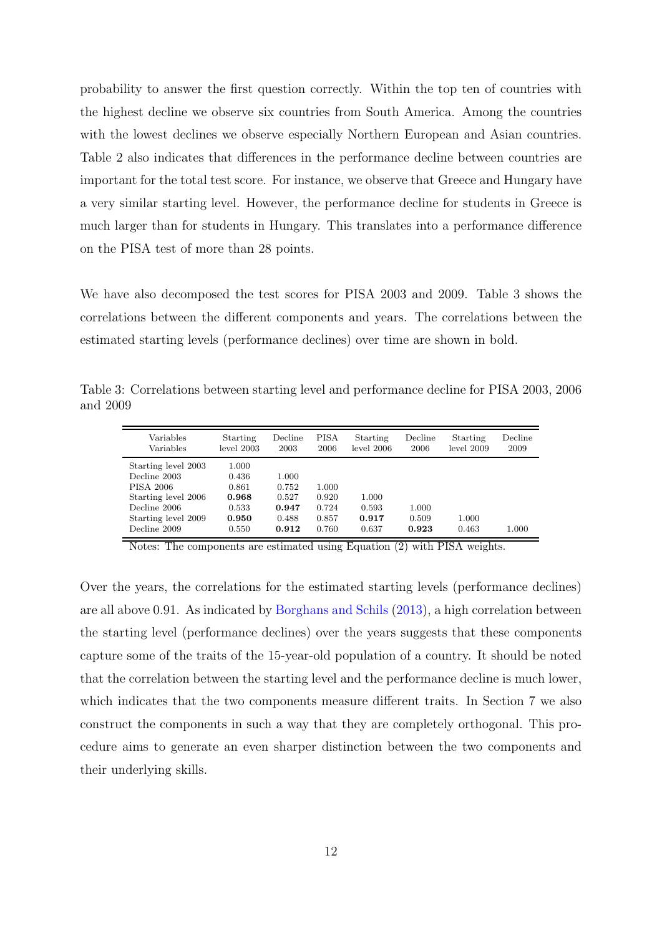probability to answer the first question correctly. Within the top ten of countries with the highest decline we observe six countries from South America. Among the countries with the lowest declines we observe especially Northern European and Asian countries. Table [2](#page-12-0) also indicates that differences in the performance decline between countries are important for the total test score. For instance, we observe that Greece and Hungary have a very similar starting level. However, the performance decline for students in Greece is much larger than for students in Hungary. This translates into a performance difference on the PISA test of more than 28 points.

We have also decomposed the test scores for PISA 2003 and 2009. Table [3](#page-13-0) shows the correlations between the different components and years. The correlations between the estimated starting levels (performance declines) over time are shown in bold.

<span id="page-13-0"></span>Table 3: Correlations between starting level and performance decline for PISA 2003, 2006 and 2009

| Variables                                                                                                                             | Starting                                                    | Decline                                            | <b>PISA</b>                               | Starting                         | Decline                 | Starting       | Decline |
|---------------------------------------------------------------------------------------------------------------------------------------|-------------------------------------------------------------|----------------------------------------------------|-------------------------------------------|----------------------------------|-------------------------|----------------|---------|
| Variables                                                                                                                             | level 2003                                                  | 2003                                               | 2006                                      | level 2006                       | 2006                    | level 2009     | 2009    |
| Starting level 2003<br>Decline 2003<br><b>PISA 2006</b><br>Starting level 2006<br>Decline 2006<br>Starting level 2009<br>Decline 2009 | 1.000<br>0.436<br>0.861<br>0.968<br>0.533<br>0.950<br>0.550 | 1.000<br>0.752<br>0.527<br>0.947<br>0.488<br>0.912 | 1.000<br>0.920<br>0.724<br>0.857<br>0.760 | 1.000<br>0.593<br>0.917<br>0.637 | 1.000<br>0.509<br>0.923 | 1.000<br>0.463 | 1.000   |

Notes: The components are estimated using Equation [\(2\)](#page-10-0) with PISA weights.

Over the years, the correlations for the estimated starting levels (performance declines) are all above 0.91. As indicated by [Borghans and Schils](#page-25-7) [\(2013\)](#page-25-7), a high correlation between the starting level (performance declines) over the years suggests that these components capture some of the traits of the 15-year-old population of a country. It should be noted that the correlation between the starting level and the performance decline is much lower, which indicates that the two components measure different traits. In Section [7](#page-21-0) we also construct the components in such a way that they are completely orthogonal. This procedure aims to generate an even sharper distinction between the two components and their underlying skills.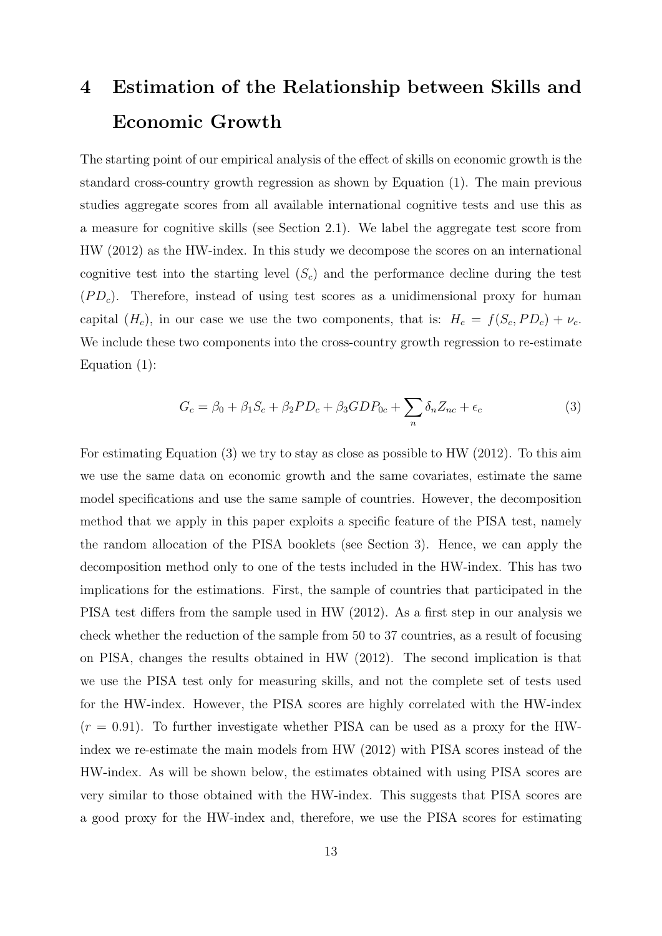# <span id="page-14-0"></span>4 Estimation of the Relationship between Skills and Economic Growth

The starting point of our empirical analysis of the effect of skills on economic growth is the standard cross-country growth regression as shown by Equation [\(1\)](#page-6-1). The main previous studies aggregate scores from all available international cognitive tests and use this as a measure for cognitive skills (see Section [2.1\)](#page-6-2). We label the aggregate test score from HW (2012) as the HW-index. In this study we decompose the scores on an international cognitive test into the starting level  $(S<sub>c</sub>)$  and the performance decline during the test  $(PD<sub>c</sub>)$ . Therefore, instead of using test scores as a unidimensional proxy for human capital  $(H_c)$ , in our case we use the two components, that is:  $H_c = f(S_c, PD_c) + \nu_c$ . We include these two components into the cross-country growth regression to re-estimate Equation [\(1\)](#page-6-1):

<span id="page-14-1"></span>
$$
G_c = \beta_0 + \beta_1 S_c + \beta_2 P D_c + \beta_3 G D P_{0c} + \sum_n \delta_n Z_{nc} + \epsilon_c \tag{3}
$$

For estimating Equation [\(3\)](#page-14-1) we try to stay as close as possible to HW (2012). To this aim we use the same data on economic growth and the same covariates, estimate the same model specifications and use the same sample of countries. However, the decomposition method that we apply in this paper exploits a specific feature of the PISA test, namely the random allocation of the PISA booklets (see Section [3\)](#page-9-0). Hence, we can apply the decomposition method only to one of the tests included in the HW-index. This has two implications for the estimations. First, the sample of countries that participated in the PISA test differs from the sample used in HW (2012). As a first step in our analysis we check whether the reduction of the sample from 50 to 37 countries, as a result of focusing on PISA, changes the results obtained in HW (2012). The second implication is that we use the PISA test only for measuring skills, and not the complete set of tests used for the HW-index. However, the PISA scores are highly correlated with the HW-index  $(r = 0.91)$ . To further investigate whether PISA can be used as a proxy for the HWindex we re-estimate the main models from HW (2012) with PISA scores instead of the HW-index. As will be shown below, the estimates obtained with using PISA scores are very similar to those obtained with the HW-index. This suggests that PISA scores are a good proxy for the HW-index and, therefore, we use the PISA scores for estimating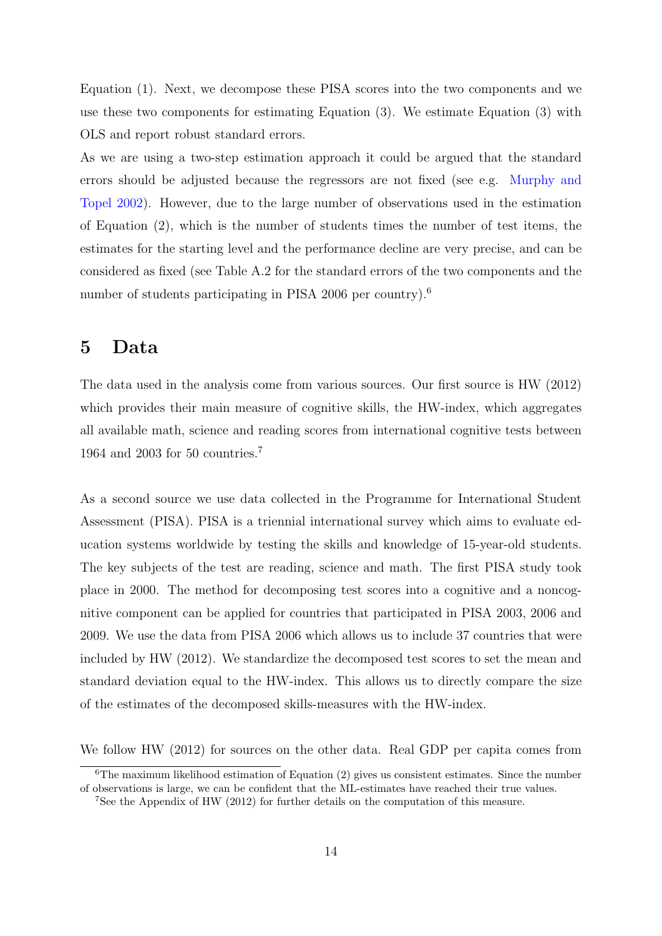Equation [\(1\)](#page-6-1). Next, we decompose these PISA scores into the two components and we use these two components for estimating Equation [\(3\)](#page-14-1). We estimate Equation [\(3\)](#page-14-1) with OLS and report robust standard errors.

As we are using a two-step estimation approach it could be argued that the standard errors should be adjusted because the regressors are not fixed (see e.g. [Murphy and](#page-26-15) [Topel](#page-26-15) [2002\)](#page-26-15). However, due to the large number of observations used in the estimation of Equation [\(2\)](#page-10-0), which is the number of students times the number of test items, the estimates for the starting level and the performance decline are very precise, and can be considered as fixed (see Table [A.2](#page-29-0) for the standard errors of the two components and the number of students participating in PISA 200[6](#page-15-1) per country).<sup>6</sup>

### <span id="page-15-0"></span>5 Data

The data used in the analysis come from various sources. Our first source is HW (2012) which provides their main measure of cognitive skills, the HW-index, which aggregates all available math, science and reading scores from international cognitive tests between 1964 and 2003 for 50 countries.[7](#page-15-2)

As a second source we use data collected in the Programme for International Student Assessment (PISA). PISA is a triennial international survey which aims to evaluate education systems worldwide by testing the skills and knowledge of 15-year-old students. The key subjects of the test are reading, science and math. The first PISA study took place in 2000. The method for decomposing test scores into a cognitive and a noncognitive component can be applied for countries that participated in PISA 2003, 2006 and 2009. We use the data from PISA 2006 which allows us to include 37 countries that were included by HW (2012). We standardize the decomposed test scores to set the mean and standard deviation equal to the HW-index. This allows us to directly compare the size of the estimates of the decomposed skills-measures with the HW-index.

We follow HW (2012) for sources on the other data. Real GDP per capita comes from

<span id="page-15-1"></span> ${}^{6}$ The maximum likelihood estimation of Equation [\(2\)](#page-10-0) gives us consistent estimates. Since the number of observations is large, we can be confident that the ML-estimates have reached their true values.

<span id="page-15-2"></span><sup>7</sup>See the Appendix of HW (2012) for further details on the computation of this measure.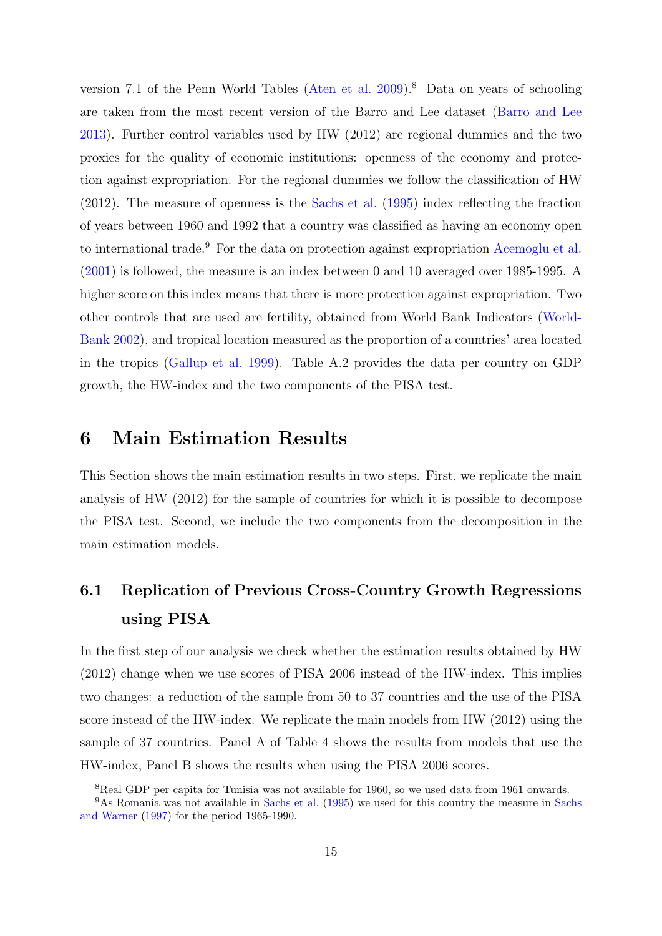version 7.1 of the Penn World Tables [\(Aten et al.](#page-24-4)  $2009$ ).<sup>[8](#page-16-1)</sup> Data on years of schooling are taken from the most recent version of the Barro and Lee dataset [\(Barro and Lee](#page-24-5) [2013\)](#page-24-5). Further control variables used by HW (2012) are regional dummies and the two proxies for the quality of economic institutions: openness of the economy and protection against expropriation. For the regional dummies we follow the classification of HW (2012). The measure of openness is the [Sachs et al.](#page-26-16) [\(1995\)](#page-26-16) index reflecting the fraction of years between 1960 and 1992 that a country was classified as having an economy open to international trade.<sup>[9](#page-16-2)</sup> For the data on protection against expropriation [Acemoglu et al.](#page-24-6) [\(2001\)](#page-24-6) is followed, the measure is an index between 0 and 10 averaged over 1985-1995. A higher score on this index means that there is more protection against expropriation. Two other controls that are used are fertility, obtained from World Bank Indicators [\(World-](#page-27-2)[Bank](#page-27-2) [2002\)](#page-27-2), and tropical location measured as the proportion of a countries' area located in the tropics [\(Gallup et al.](#page-25-14) [1999\)](#page-25-14). Table [A.2](#page-29-0) provides the data per country on GDP growth, the HW-index and the two components of the PISA test.

### <span id="page-16-0"></span>6 Main Estimation Results

This Section shows the main estimation results in two steps. First, we replicate the main analysis of HW (2012) for the sample of countries for which it is possible to decompose the PISA test. Second, we include the two components from the decomposition in the main estimation models.

# 6.1 Replication of Previous Cross-Country Growth Regressions using PISA

In the first step of our analysis we check whether the estimation results obtained by HW (2012) change when we use scores of PISA 2006 instead of the HW-index. This implies two changes: a reduction of the sample from 50 to 37 countries and the use of the PISA score instead of the HW-index. We replicate the main models from HW (2012) using the sample of 37 countries. Panel A of Table [4](#page-17-0) shows the results from models that use the HW-index, Panel B shows the results when using the PISA 2006 scores.

<span id="page-16-2"></span><span id="page-16-1"></span><sup>&</sup>lt;sup>8</sup>Real GDP per capita for Tunisia was not available for 1960, so we used data from 1961 onwards.

<sup>9</sup>As Romania was not available in [Sachs et al.](#page-26-16) [\(1995\)](#page-26-16) we used for this country the measure in [Sachs](#page-26-17) [and Warner](#page-26-17) [\(1997\)](#page-26-17) for the period 1965-1990.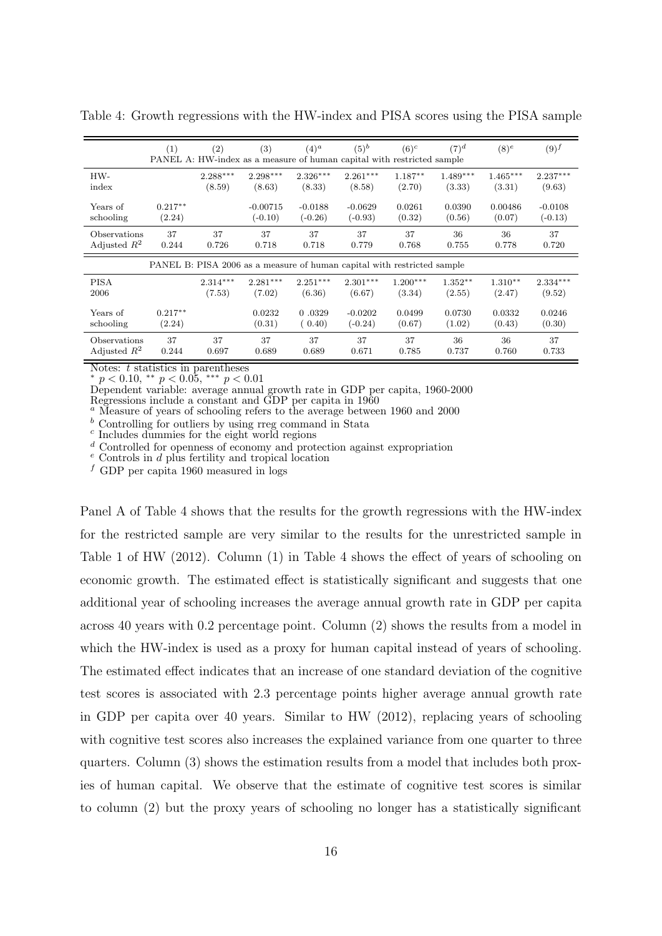|                | (1)                                                                     | (2)        | (3)        | $(4)^a$    | $(5)^b$<br>PANEL A: HW-index as a measure of human capital with restricted sample | $(6)^c$    | $(7)^d$    | $(8)^e$    | $(9)^f$    |  |  |  |  |
|----------------|-------------------------------------------------------------------------|------------|------------|------------|-----------------------------------------------------------------------------------|------------|------------|------------|------------|--|--|--|--|
| HW-            |                                                                         | $2.288***$ | $2.298***$ | $2.326***$ | $2.261***$                                                                        | $1.187**$  | $1.489***$ | $1.465***$ | $2.237***$ |  |  |  |  |
| index          |                                                                         | (8.59)     | (8.63)     | (8.33)     | (8.58)                                                                            | (2.70)     | (3.33)     | (3.31)     | (9.63)     |  |  |  |  |
| Years of       | $0.217**$                                                               |            | $-0.00715$ | $-0.0188$  | $-0.0629$                                                                         | 0.0261     | 0.0390     | 0.00486    | $-0.0108$  |  |  |  |  |
| schooling      | (2.24)                                                                  |            | $(-0.10)$  | $(-0.26)$  | $(-0.93)$                                                                         | (0.32)     | (0.56)     | (0.07)     | $(-0.13)$  |  |  |  |  |
| Observations   | 37                                                                      | 37         | 37         | 37         | 37                                                                                | 37         | 36         | 36         | 37         |  |  |  |  |
| Adjusted $R^2$ | 0.244                                                                   | 0.726      | 0.718      | 0.718      | 0.779                                                                             | 0.768      | 0.755      | 0.778      | 0.720      |  |  |  |  |
|                | PANEL B: PISA 2006 as a measure of human capital with restricted sample |            |            |            |                                                                                   |            |            |            |            |  |  |  |  |
| <b>PISA</b>    |                                                                         | $2.314***$ | $2.281***$ | $2.251***$ | $2.301***$                                                                        | $1.200***$ | $1.352**$  | $1.310**$  | $2.334***$ |  |  |  |  |
| 2006           |                                                                         | (7.53)     | (7.02)     | (6.36)     | (6.67)                                                                            | (3.34)     | (2.55)     | (2.47)     | (9.52)     |  |  |  |  |
| Years of       | $0.217**$                                                               |            | 0.0232     | 0.0329     | $-0.0202$                                                                         | 0.0499     | 0.0730     | 0.0332     | 0.0246     |  |  |  |  |
| schooling      | (2.24)                                                                  |            | (0.31)     | (0.40)     | $(-0.24)$                                                                         | (0.67)     | (1.02)     | (0.43)     | (0.30)     |  |  |  |  |
| Observations   | 37                                                                      | 37         | 37         | 37         | 37                                                                                | 37         | 36         | 36         | 37         |  |  |  |  |
| Adjusted $R^2$ | 0.244                                                                   | 0.697      | 0.689      | 0.689      | 0.671                                                                             | 0.785      | 0.737      | 0.760      | 0.733      |  |  |  |  |

<span id="page-17-0"></span>Table 4: Growth regressions with the HW-index and PISA scores using the PISA sample

Notes: t statistics in parentheses

\*  $p < 0.10,$  \*\*  $p < 0.05,$  \*\*\*  $p < 0.01$ 

Dependent variable: average annual growth rate in GDP per capita, 1960-2000 Regressions include a constant and GDP per capita in 1960

 $^a$  Measure of years of schooling refers to the average between 1960 and 2000

 $b$  Controlling for outliers by using rreg command in Stata

c Includes dummies for the eight world regions

 $d$  Controlled for openness of economy and protection against expropriation

 $e$  Controls in  $d$  plus fertility and tropical location

f GDP per capita 1960 measured in logs

Panel A of Table [4](#page-17-0) shows that the results for the growth regressions with the HW-index for the restricted sample are very similar to the results for the unrestricted sample in Table 1 of HW (2012). Column (1) in Table [4](#page-17-0) shows the effect of years of schooling on economic growth. The estimated effect is statistically significant and suggests that one additional year of schooling increases the average annual growth rate in GDP per capita across 40 years with 0.2 percentage point. Column (2) shows the results from a model in which the HW-index is used as a proxy for human capital instead of years of schooling. The estimated effect indicates that an increase of one standard deviation of the cognitive test scores is associated with 2.3 percentage points higher average annual growth rate in GDP per capita over 40 years. Similar to HW (2012), replacing years of schooling with cognitive test scores also increases the explained variance from one quarter to three quarters. Column (3) shows the estimation results from a model that includes both proxies of human capital. We observe that the estimate of cognitive test scores is similar to column (2) but the proxy years of schooling no longer has a statistically significant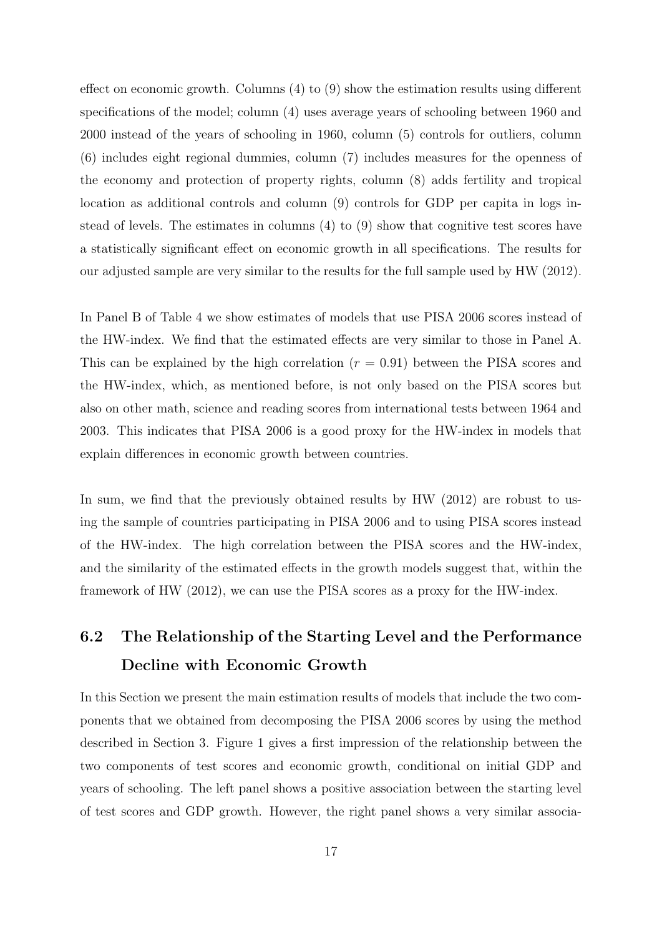effect on economic growth. Columns (4) to (9) show the estimation results using different specifications of the model; column (4) uses average years of schooling between 1960 and 2000 instead of the years of schooling in 1960, column (5) controls for outliers, column (6) includes eight regional dummies, column (7) includes measures for the openness of the economy and protection of property rights, column (8) adds fertility and tropical location as additional controls and column (9) controls for GDP per capita in logs instead of levels. The estimates in columns (4) to (9) show that cognitive test scores have a statistically significant effect on economic growth in all specifications. The results for our adjusted sample are very similar to the results for the full sample used by HW (2012).

In Panel B of Table [4](#page-17-0) we show estimates of models that use PISA 2006 scores instead of the HW-index. We find that the estimated effects are very similar to those in Panel A. This can be explained by the high correlation  $(r = 0.91)$  between the PISA scores and the HW-index, which, as mentioned before, is not only based on the PISA scores but also on other math, science and reading scores from international tests between 1964 and 2003. This indicates that PISA 2006 is a good proxy for the HW-index in models that explain differences in economic growth between countries.

In sum, we find that the previously obtained results by HW (2012) are robust to using the sample of countries participating in PISA 2006 and to using PISA scores instead of the HW-index. The high correlation between the PISA scores and the HW-index, and the similarity of the estimated effects in the growth models suggest that, within the framework of HW (2012), we can use the PISA scores as a proxy for the HW-index.

# <span id="page-18-0"></span>6.2 The Relationship of the Starting Level and the Performance Decline with Economic Growth

In this Section we present the main estimation results of models that include the two components that we obtained from decomposing the PISA 2006 scores by using the method described in Section [3.](#page-9-0) Figure [1](#page-19-0) gives a first impression of the relationship between the two components of test scores and economic growth, conditional on initial GDP and years of schooling. The left panel shows a positive association between the starting level of test scores and GDP growth. However, the right panel shows a very similar associa-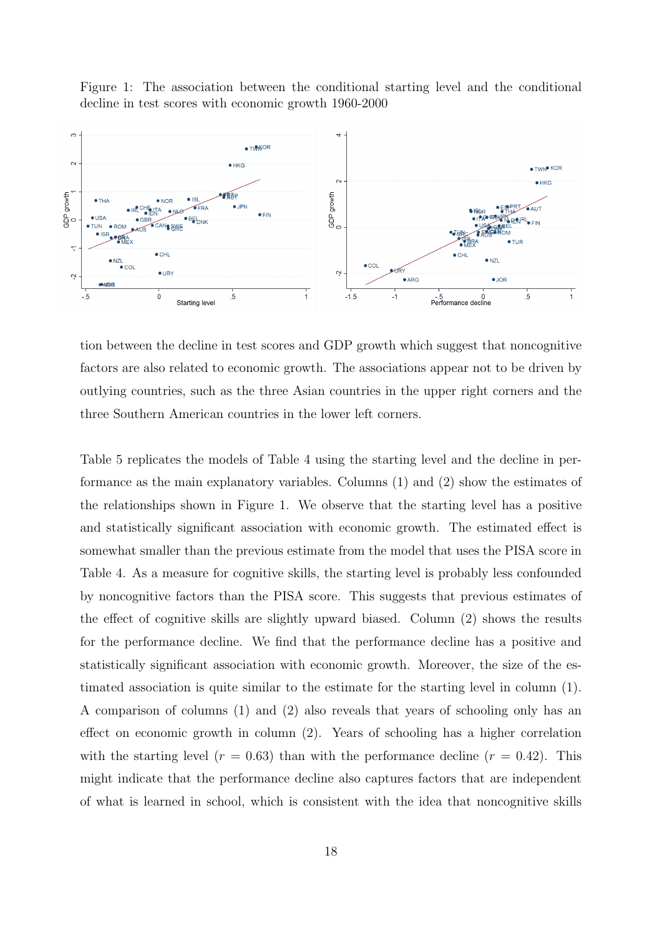<span id="page-19-0"></span>Figure 1: The association between the conditional starting level and the conditional decline in test scores with economic growth 1960-2000



tion between the decline in test scores and GDP growth which suggest that noncognitive factors are also related to economic growth. The associations appear not to be driven by outlying countries, such as the three Asian countries in the upper right corners and the three Southern American countries in the lower left corners.

Table [5](#page-20-0) replicates the models of Table [4](#page-17-0) using the starting level and the decline in performance as the main explanatory variables. Columns (1) and (2) show the estimates of the relationships shown in Figure [1.](#page-19-0) We observe that the starting level has a positive and statistically significant association with economic growth. The estimated effect is somewhat smaller than the previous estimate from the model that uses the PISA score in Table [4.](#page-17-0) As a measure for cognitive skills, the starting level is probably less confounded by noncognitive factors than the PISA score. This suggests that previous estimates of the effect of cognitive skills are slightly upward biased. Column (2) shows the results for the performance decline. We find that the performance decline has a positive and statistically significant association with economic growth. Moreover, the size of the estimated association is quite similar to the estimate for the starting level in column (1). A comparison of columns (1) and (2) also reveals that years of schooling only has an effect on economic growth in column (2). Years of schooling has a higher correlation with the starting level  $(r = 0.63)$  than with the performance decline  $(r = 0.42)$ . This might indicate that the performance decline also captures factors that are independent of what is learned in school, which is consistent with the idea that noncognitive skills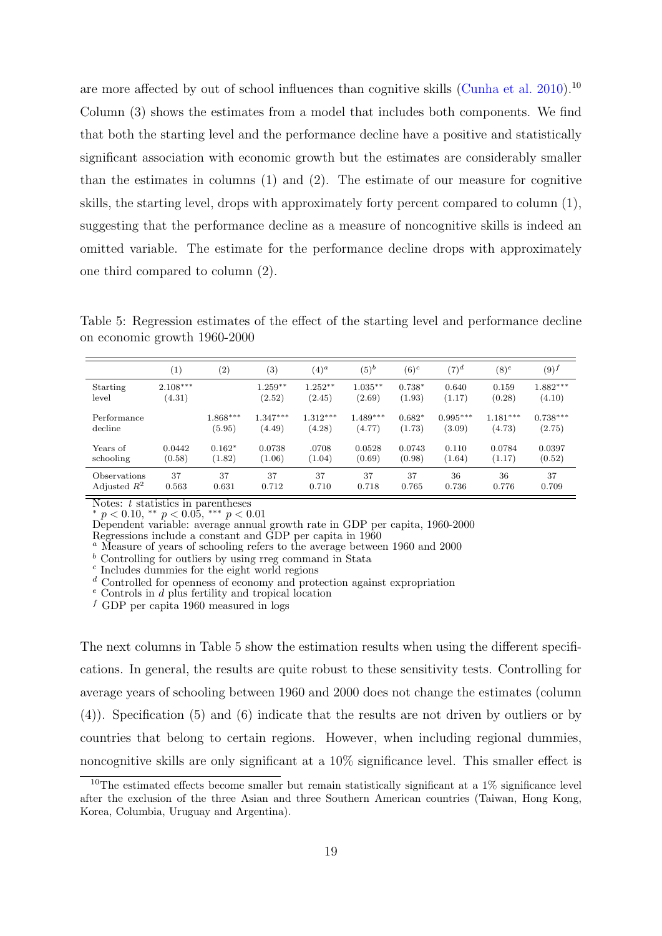are more affected by out of school influences than cognitive skills [\(Cunha et al.](#page-25-15) [2010\)](#page-25-15).<sup>[10](#page-20-1)</sup> Column (3) shows the estimates from a model that includes both components. We find that both the starting level and the performance decline have a positive and statistically significant association with economic growth but the estimates are considerably smaller than the estimates in columns (1) and (2). The estimate of our measure for cognitive skills, the starting level, drops with approximately forty percent compared to column (1), suggesting that the performance decline as a measure of noncognitive skills is indeed an omitted variable. The estimate for the performance decline drops with approximately one third compared to column (2).

<span id="page-20-0"></span>Table 5: Regression estimates of the effect of the starting level and performance decline on economic growth 1960-2000

|                | $\left( 1\right)$ | (2)        | $^{(3)}$   | $(4)^a$    | $(5)^b$    | $(6)^c$  | $(7)^d$    | $(8)^e$    | $(9)^f$    |
|----------------|-------------------|------------|------------|------------|------------|----------|------------|------------|------------|
| Starting       | $2.108***$        |            | $1.259**$  | $1.252**$  | $1.035**$  | $0.738*$ | 0.640      | 0.159      | $1.882***$ |
| level          | (4.31)            |            | (2.52)     | (2.45)     | (2.69)     | (1.93)   | (1.17)     | (0.28)     | (4.10)     |
| Performance    |                   | $1.868***$ | $1.347***$ | $1.312***$ | $1.489***$ | $0.682*$ | $0.995***$ | $1.181***$ | $0.738***$ |
| decline        |                   | (5.95)     | (4.49)     | (4.28)     | (4.77)     | (1.73)   | (3.09)     | (4.73)     | (2.75)     |
| Years of       | 0.0442            | $0.162*$   | 0.0738     | .0708      | 0.0528     | 0.0743   | 0.110      | 0.0784     | 0.0397     |
| schooling      | (0.58)            | (1.82)     | (1.06)     | (1.04)     | (0.69)     | (0.98)   | (1.64)     | (1.17)     | (0.52)     |
| Observations   | 37                | 37         | 37         | 37         | 37         | 37       | 36         | 36         | 37         |
| Adjusted $R^2$ | 0.563             | 0.631      | 0.712      | 0.710      | 0.718      | 0.765    | 0.736      | 0.776      | 0.709      |

Notes:  $t$  statistics in parentheses  $p < 0.10,$  \*\*  $p < 0.05,$  \*\*\*  $p < 0.01$ 

Dependent variable: average annual growth rate in GDP per capita, 1960-2000

Regressions include a constant and GDP per capita in 1960

<sup>a</sup> Measure of years of schooling refers to the average between 1960 and 2000

 $\frac{b}{b}$  Controlling for outliers by using rreg command in Stata

c Includes dummies for the eight world regions

 $d$  Controlled for openness of economy and protection against expropriation

 $e$  Controls in  $d$  plus fertility and tropical location

f GDP per capita 1960 measured in logs

The next columns in Table [5](#page-20-0) show the estimation results when using the different specifications. In general, the results are quite robust to these sensitivity tests. Controlling for average years of schooling between 1960 and 2000 does not change the estimates (column (4)). Specification (5) and (6) indicate that the results are not driven by outliers or by countries that belong to certain regions. However, when including regional dummies, noncognitive skills are only significant at a 10% significance level. This smaller effect is

<span id="page-20-1"></span><sup>&</sup>lt;sup>10</sup>The estimated effects become smaller but remain statistically significant at a  $1\%$  significance level after the exclusion of the three Asian and three Southern American countries (Taiwan, Hong Kong, Korea, Columbia, Uruguay and Argentina).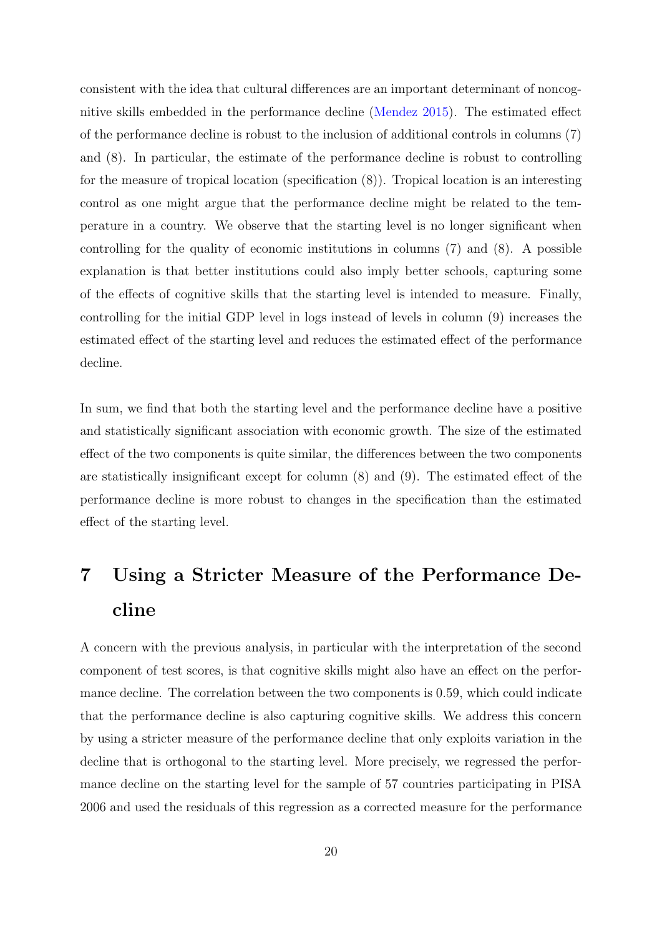consistent with the idea that cultural differences are an important determinant of noncognitive skills embedded in the performance decline [\(Mendez](#page-26-18) [2015\)](#page-26-18). The estimated effect of the performance decline is robust to the inclusion of additional controls in columns (7) and (8). In particular, the estimate of the performance decline is robust to controlling for the measure of tropical location (specification (8)). Tropical location is an interesting control as one might argue that the performance decline might be related to the temperature in a country. We observe that the starting level is no longer significant when controlling for the quality of economic institutions in columns (7) and (8). A possible explanation is that better institutions could also imply better schools, capturing some of the effects of cognitive skills that the starting level is intended to measure. Finally, controlling for the initial GDP level in logs instead of levels in column (9) increases the estimated effect of the starting level and reduces the estimated effect of the performance decline.

In sum, we find that both the starting level and the performance decline have a positive and statistically significant association with economic growth. The size of the estimated effect of the two components is quite similar, the differences between the two components are statistically insignificant except for column (8) and (9). The estimated effect of the performance decline is more robust to changes in the specification than the estimated effect of the starting level.

# <span id="page-21-0"></span>7 Using a Stricter Measure of the Performance Decline

A concern with the previous analysis, in particular with the interpretation of the second component of test scores, is that cognitive skills might also have an effect on the performance decline. The correlation between the two components is 0.59, which could indicate that the performance decline is also capturing cognitive skills. We address this concern by using a stricter measure of the performance decline that only exploits variation in the decline that is orthogonal to the starting level. More precisely, we regressed the performance decline on the starting level for the sample of 57 countries participating in PISA 2006 and used the residuals of this regression as a corrected measure for the performance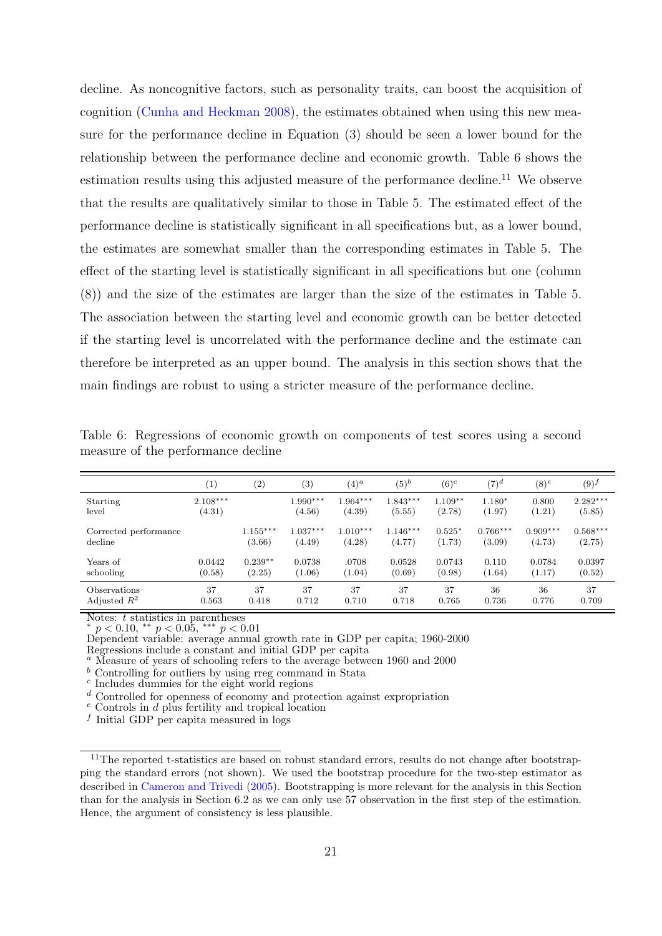decline. As noncognitive factors, such as personality traits, can boost the acquisition of cognition [\(Cunha and Heckman](#page-25-16) [2008\)](#page-25-16), the estimates obtained when using this new measure for the performance decline in Equation [\(3\)](#page-14-1) should be seen a lower bound for the relationship between the performance decline and economic growth. Table [6](#page-22-0) shows the estimation results using this adjusted measure of the performance decline.<sup>[11](#page-22-1)</sup> We observe that the results are qualitatively similar to those in Table [5.](#page-20-0) The estimated effect of the performance decline is statistically significant in all specifications but, as a lower bound, the estimates are somewhat smaller than the corresponding estimates in Table [5.](#page-20-0) The effect of the starting level is statistically significant in all specifications but one (column (8)) and the size of the estimates are larger than the size of the estimates in Table [5.](#page-20-0) The association between the starting level and economic growth can be better detected if the starting level is uncorrelated with the performance decline and the estimate can therefore be interpreted as an upper bound. The analysis in this section shows that the main findings are robust to using a stricter measure of the performance decline.

|                       | $\left[1\right]$ | (2)        | $^{(3)}$   | $(4)^a$    | $(5)^b$    | $(6)^c$   | $(7)^d$    | $(8)^e$    | $(9)^f$    |
|-----------------------|------------------|------------|------------|------------|------------|-----------|------------|------------|------------|
| Starting              | $2.108***$       |            | $1.990***$ | $1.964***$ | $1.843***$ | $1.109**$ | $1.180*$   | 0.800      | $2.282***$ |
| level                 | (4.31)           |            | (4.56)     | (4.39)     | (5.55)     | (2.78)    | (1.97)     | (1.21)     | (5.85)     |
| Corrected performance |                  | $1.155***$ | $1.037***$ | $1.010***$ | $1.146***$ | $0.525*$  | $0.766***$ | $0.909***$ | $0.568***$ |
| decline               |                  | (3.66)     | (4.49)     | (4.28)     | (4.77)     | (1.73)    | (3.09)     | (4.73)     | (2.75)     |
| Years of              | 0.0442           | $0.239**$  | 0.0738     | .0708      | 0.0528     | 0.0743    | 0.110      | 0.0784     | 0.0397     |
| schooling             | (0.58)           | (2.25)     | (1.06)     | (1.04)     | (0.69)     | (0.98)    | (1.64)     | (1.17)     | (0.52)     |
| Observations          | 37               | 37         | 37         | 37         | 37         | 37        | 36         | 36         | 37         |
| Adjusted $R^2$        | 0.563            | 0.418      | 0.712      | 0.710      | 0.718      | 0.765     | 0.736      | 0.776      | 0.709      |

<span id="page-22-0"></span>Table 6: Regressions of economic growth on components of test scores using a second measure of the performance decline

Notes:  $t$  statistics in parentheses

\*  $p < 0.10,$  \*\*  $p < 0.05,$  \*\*\*  $p < 0.01$ 

Dependent variable: average annual growth rate in GDP per capita; 1960-2000 Regressions include a constant and initial GDP per capita

<sup>a</sup> Measure of years of schooling refers to the average between 1960 and 2000

 $<sup>b</sup>$  Controlling for outliers by using rreg command in Stata</sup>

c Includes dummies for the eight world regions

<sup>d</sup> Controlled for openness of economy and protection against expropriation

 $e$  Controls in  $d$  plus fertility and tropical location

f Initial GDP per capita measured in logs

<span id="page-22-1"></span><sup>&</sup>lt;sup>11</sup>The reported t-statistics are based on robust standard errors, results do not change after bootstrapping the standard errors (not shown). We used the bootstrap procedure for the two-step estimator as described in [Cameron and Trivedi](#page-25-17) [\(2005\)](#page-25-17). Bootstrapping is more relevant for the analysis in this Section than for the analysis in Section [6.2](#page-18-0) as we can only use 57 observation in the first step of the estimation. Hence, the argument of consistency is less plausible.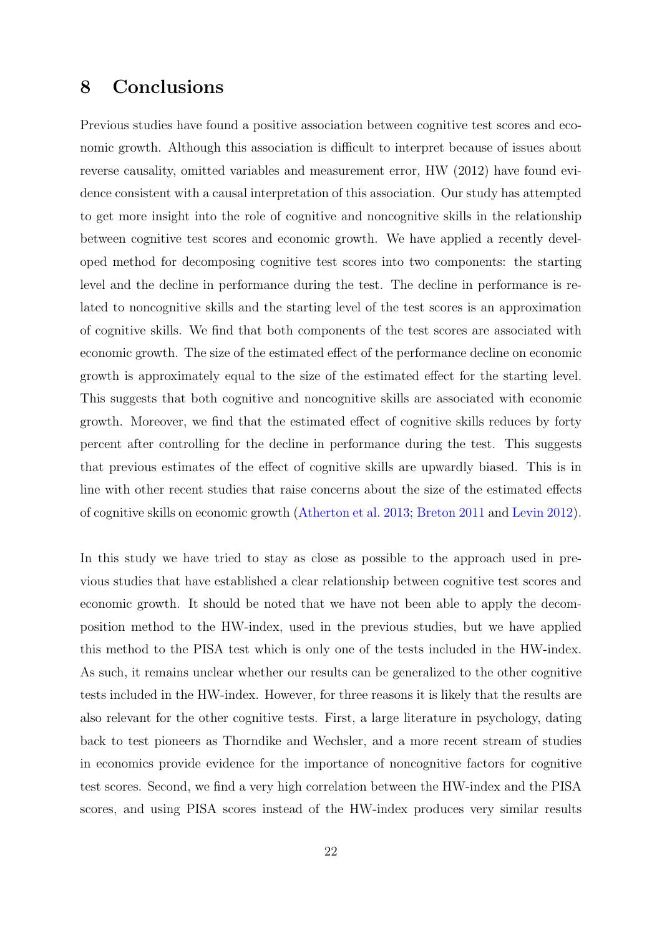## <span id="page-23-0"></span>8 Conclusions

Previous studies have found a positive association between cognitive test scores and economic growth. Although this association is difficult to interpret because of issues about reverse causality, omitted variables and measurement error, HW (2012) have found evidence consistent with a causal interpretation of this association. Our study has attempted to get more insight into the role of cognitive and noncognitive skills in the relationship between cognitive test scores and economic growth. We have applied a recently developed method for decomposing cognitive test scores into two components: the starting level and the decline in performance during the test. The decline in performance is related to noncognitive skills and the starting level of the test scores is an approximation of cognitive skills. We find that both components of the test scores are associated with economic growth. The size of the estimated effect of the performance decline on economic growth is approximately equal to the size of the estimated effect for the starting level. This suggests that both cognitive and noncognitive skills are associated with economic growth. Moreover, we find that the estimated effect of cognitive skills reduces by forty percent after controlling for the decline in performance during the test. This suggests that previous estimates of the effect of cognitive skills are upwardly biased. This is in line with other recent studies that raise concerns about the size of the estimated effects of cognitive skills on economic growth [\(Atherton et al.](#page-24-7) [2013;](#page-24-7) [Breton](#page-25-18) [2011](#page-25-18) and [Levin](#page-26-19) [2012\)](#page-26-19).

In this study we have tried to stay as close as possible to the approach used in previous studies that have established a clear relationship between cognitive test scores and economic growth. It should be noted that we have not been able to apply the decomposition method to the HW-index, used in the previous studies, but we have applied this method to the PISA test which is only one of the tests included in the HW-index. As such, it remains unclear whether our results can be generalized to the other cognitive tests included in the HW-index. However, for three reasons it is likely that the results are also relevant for the other cognitive tests. First, a large literature in psychology, dating back to test pioneers as Thorndike and Wechsler, and a more recent stream of studies in economics provide evidence for the importance of noncognitive factors for cognitive test scores. Second, we find a very high correlation between the HW-index and the PISA scores, and using PISA scores instead of the HW-index produces very similar results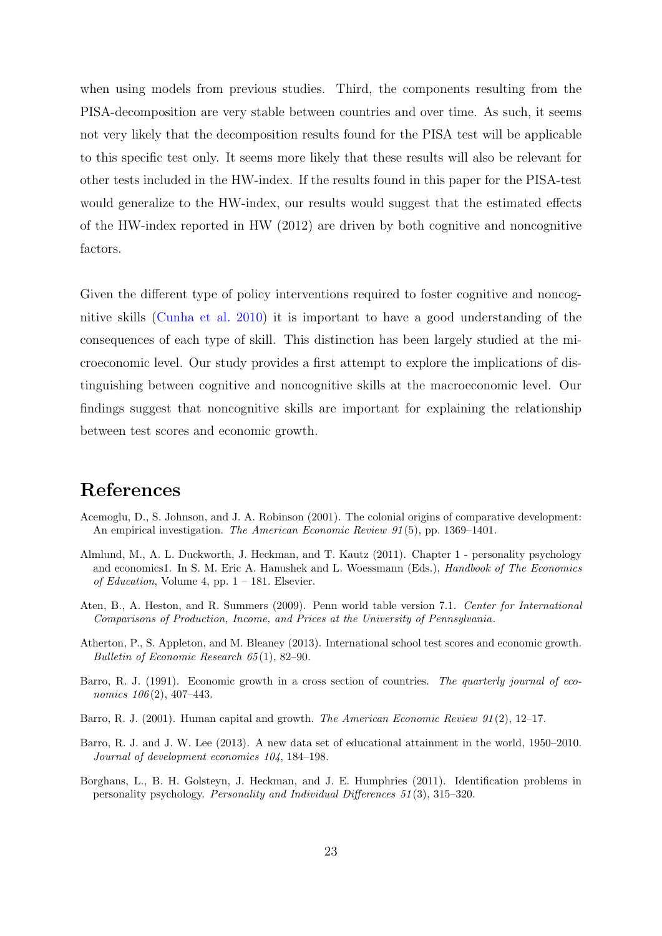when using models from previous studies. Third, the components resulting from the PISA-decomposition are very stable between countries and over time. As such, it seems not very likely that the decomposition results found for the PISA test will be applicable to this specific test only. It seems more likely that these results will also be relevant for other tests included in the HW-index. If the results found in this paper for the PISA-test would generalize to the HW-index, our results would suggest that the estimated effects of the HW-index reported in HW (2012) are driven by both cognitive and noncognitive factors.

Given the different type of policy interventions required to foster cognitive and noncognitive skills [\(Cunha et al.](#page-25-15) [2010\)](#page-25-15) it is important to have a good understanding of the consequences of each type of skill. This distinction has been largely studied at the microeconomic level. Our study provides a first attempt to explore the implications of distinguishing between cognitive and noncognitive skills at the macroeconomic level. Our findings suggest that noncognitive skills are important for explaining the relationship between test scores and economic growth.

# References

- <span id="page-24-6"></span>Acemoglu, D., S. Johnson, and J. A. Robinson (2001). The colonial origins of comparative development: An empirical investigation. The American Economic Review 91(5), pp. 1369–1401.
- <span id="page-24-0"></span>Almlund, M., A. L. Duckworth, J. Heckman, and T. Kautz (2011). Chapter 1 - personality psychology and economics1. In S. M. Eric A. Hanushek and L. Woessmann (Eds.), *Handbook of The Economics* of Education, Volume 4, pp.  $1 - 181$ . Elsevier.
- <span id="page-24-4"></span>Aten, B., A. Heston, and R. Summers (2009). Penn world table version 7.1. Center for International Comparisons of Production, Income, and Prices at the University of Pennsylvania.
- <span id="page-24-7"></span>Atherton, P., S. Appleton, and M. Bleaney (2013). International school test scores and economic growth. Bulletin of Economic Research 65 (1), 82–90.
- <span id="page-24-1"></span>Barro, R. J. (1991). Economic growth in a cross section of countries. The quarterly journal of economics  $106(2)$ ,  $407-443$ .
- <span id="page-24-2"></span>Barro, R. J. (2001). Human capital and growth. *The American Economic Review 91* (2), 12–17.
- <span id="page-24-5"></span>Barro, R. J. and J. W. Lee (2013). A new data set of educational attainment in the world, 1950–2010. Journal of development economics 104, 184–198.
- <span id="page-24-3"></span>Borghans, L., B. H. Golsteyn, J. Heckman, and J. E. Humphries (2011). Identification problems in personality psychology. Personality and Individual Differences 51 (3), 315–320.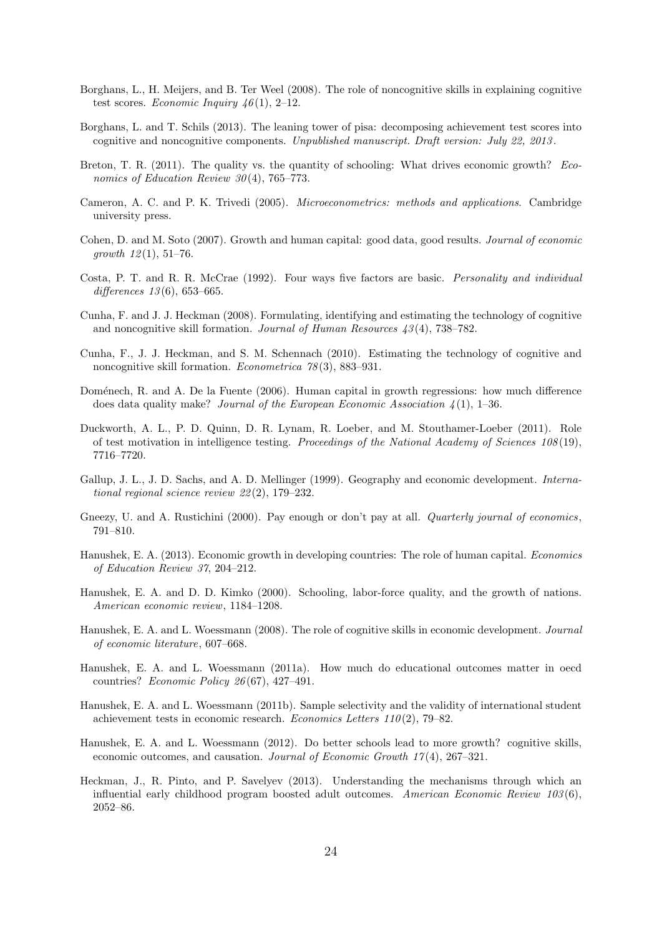- <span id="page-25-5"></span>Borghans, L., H. Meijers, and B. Ter Weel (2008). The role of noncognitive skills in explaining cognitive test scores. Economic Inquiry  $46(1)$ , 2-12.
- <span id="page-25-7"></span>Borghans, L. and T. Schils (2013). The leaning tower of pisa: decomposing achievement test scores into cognitive and noncognitive components. Unpublished manuscript. Draft version: July 22, 2013 .
- <span id="page-25-18"></span>Breton, T. R. (2011). The quality vs. the quantity of schooling: What drives economic growth? Economics of Education Review 30(4), 765-773.
- <span id="page-25-17"></span>Cameron, A. C. and P. K. Trivedi (2005). Microeconometrics: methods and applications. Cambridge university press.
- <span id="page-25-9"></span>Cohen, D. and M. Soto (2007). Growth and human capital: good data, good results. Journal of economic growth  $12(1), 51-76.$
- <span id="page-25-13"></span>Costa, P. T. and R. R. McCrae (1992). Four ways five factors are basic. Personality and individual differences  $13(6)$ , 653–665.
- <span id="page-25-16"></span>Cunha, F. and J. J. Heckman (2008). Formulating, identifying and estimating the technology of cognitive and noncognitive skill formation. Journal of Human Resources  $43(4)$ , 738–782.
- <span id="page-25-15"></span>Cunha, F., J. J. Heckman, and S. M. Schennach (2010). Estimating the technology of cognitive and noncognitive skill formation. Econometrica  $78(3)$ , 883–931.
- <span id="page-25-8"></span>Doménech, R. and A. De la Fuente (2006). Human capital in growth regressions: how much difference does data quality make? Journal of the European Economic Association  $\lambda(1)$ , 1–36.
- <span id="page-25-3"></span>Duckworth, A. L., P. D. Quinn, D. R. Lynam, R. Loeber, and M. Stouthamer-Loeber (2011). Role of test motivation in intelligence testing. Proceedings of the National Academy of Sciences 108 (19), 7716–7720.
- <span id="page-25-14"></span>Gallup, J. L., J. D. Sachs, and A. D. Mellinger (1999). Geography and economic development. International regional science review 22 (2), 179–232.
- <span id="page-25-4"></span>Gneezy, U. and A. Rustichini (2000). Pay enough or don't pay at all. *Quarterly journal of economics*, 791–810.
- <span id="page-25-12"></span>Hanushek, E. A. (2013). Economic growth in developing countries: The role of human capital. Economics of Education Review 37, 204–212.
- <span id="page-25-0"></span>Hanushek, E. A. and D. D. Kimko (2000). Schooling, labor-force quality, and the growth of nations. American economic review, 1184–1208.
- <span id="page-25-1"></span>Hanushek, E. A. and L. Woessmann (2008). The role of cognitive skills in economic development. Journal of economic literature, 607–668.
- <span id="page-25-10"></span>Hanushek, E. A. and L. Woessmann (2011a). How much do educational outcomes matter in oecd countries? Economic Policy 26 (67), 427–491.
- <span id="page-25-11"></span>Hanushek, E. A. and L. Woessmann (2011b). Sample selectivity and the validity of international student achievement tests in economic research. Economics Letters  $110(2)$ , 79–82.
- <span id="page-25-2"></span>Hanushek, E. A. and L. Woessmann (2012). Do better schools lead to more growth? cognitive skills, economic outcomes, and causation. Journal of Economic Growth 17 (4), 267–321.
- <span id="page-25-6"></span>Heckman, J., R. Pinto, and P. Savelyev (2013). Understanding the mechanisms through which an influential early childhood program boosted adult outcomes. American Economic Review  $103(6)$ , 2052–86.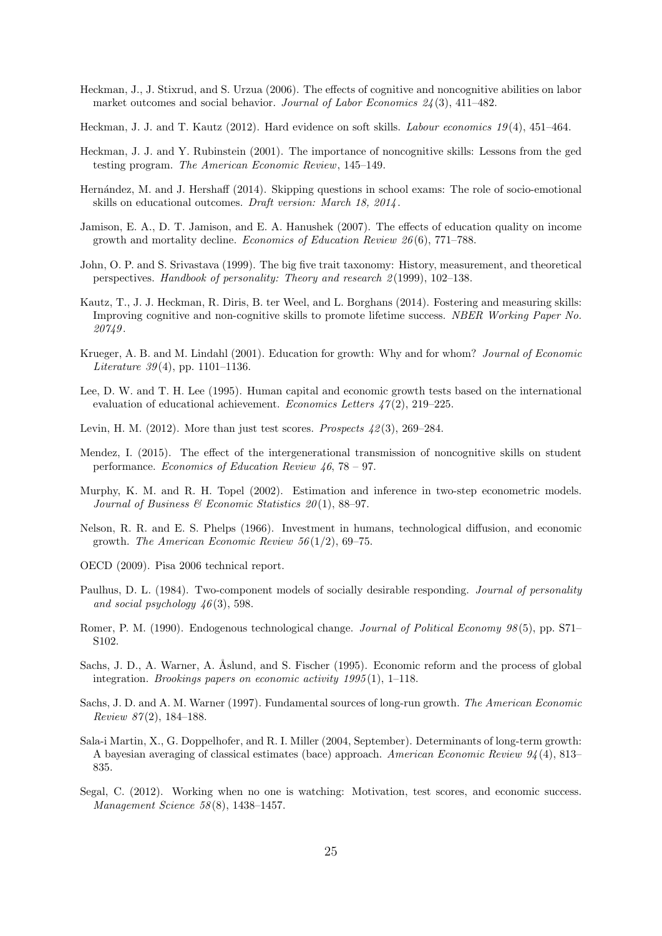- <span id="page-26-2"></span>Heckman, J., J. Stixrud, and S. Urzua (2006). The effects of cognitive and noncognitive abilities on labor market outcomes and social behavior. Journal of Labor Economics  $24(3)$ , 411–482.
- <span id="page-26-12"></span>Heckman, J. J. and T. Kautz (2012). Hard evidence on soft skills. Labour economics 19 (4), 451–464.
- <span id="page-26-1"></span>Heckman, J. J. and Y. Rubinstein (2001). The importance of noncognitive skills: Lessons from the ged testing program. The American Economic Review, 145–149.
- <span id="page-26-13"></span>Hern´andez, M. and J. Hershaff (2014). Skipping questions in school exams: The role of socio-emotional skills on educational outcomes. Draft version: March 18, 2014 .
- <span id="page-26-8"></span>Jamison, E. A., D. T. Jamison, and E. A. Hanushek (2007). The effects of education quality on income growth and mortality decline. Economics of Education Review 26 (6), 771–788.
- <span id="page-26-11"></span>John, O. P. and S. Srivastava (1999). The big five trait taxonomy: History, measurement, and theoretical perspectives. Handbook of personality: Theory and research 2 (1999), 102–138.
- <span id="page-26-4"></span>Kautz, T., J. J. Heckman, R. Diris, B. ter Weel, and L. Borghans (2014). Fostering and measuring skills: Improving cognitive and non-cognitive skills to promote lifetime success. NBER Working Paper No. 20749 .
- <span id="page-26-5"></span>Krueger, A. B. and M. Lindahl (2001). Education for growth: Why and for whom? Journal of Economic *Literature* 39(4), pp. 1101–1136.
- <span id="page-26-7"></span>Lee, D. W. and T. H. Lee (1995). Human capital and economic growth tests based on the international evaluation of educational achievement. Economics Letters  $47(2)$ , 219–225.
- <span id="page-26-19"></span>Levin, H. M. (2012). More than just test scores. Prospects  $\mu$ 2(3), 269–284.
- <span id="page-26-18"></span>Mendez, I. (2015). The effect of the intergenerational transmission of noncognitive skills on student performance. Economics of Education Review 46, 78 – 97.
- <span id="page-26-15"></span>Murphy, K. M. and R. H. Topel (2002). Estimation and inference in two-step econometric models. Journal of Business & Economic Statistics  $20(1)$ , 88-97.
- <span id="page-26-10"></span>Nelson, R. R. and E. S. Phelps (1966). Investment in humans, technological diffusion, and economic growth. The American Economic Review  $56(1/2)$ , 69–75.
- <span id="page-26-14"></span>OECD (2009). Pisa 2006 technical report.
- <span id="page-26-3"></span>Paulhus, D. L. (1984). Two-component models of socially desirable responding. Journal of personality and social psychology  $46(3)$ , 598.
- <span id="page-26-9"></span>Romer, P. M. (1990). Endogenous technological change. Journal of Political Economy 98(5), pp. S71– S102.
- <span id="page-26-16"></span>Sachs, J. D., A. Warner, A. Åslund, and S. Fischer (1995). Economic reform and the process of global integration. Brookings papers on economic activity 1995 (1), 1–118.
- <span id="page-26-17"></span>Sachs, J. D. and A. M. Warner (1997). Fundamental sources of long-run growth. The American Economic Review  $87(2)$ , 184–188.
- <span id="page-26-6"></span>Sala-i Martin, X., G. Doppelhofer, and R. I. Miller (2004, September). Determinants of long-term growth: A bayesian averaging of classical estimates (bace) approach. American Economic Review 94 (4), 813– 835.
- <span id="page-26-0"></span>Segal, C. (2012). Working when no one is watching: Motivation, test scores, and economic success. Management Science 58 (8), 1438–1457.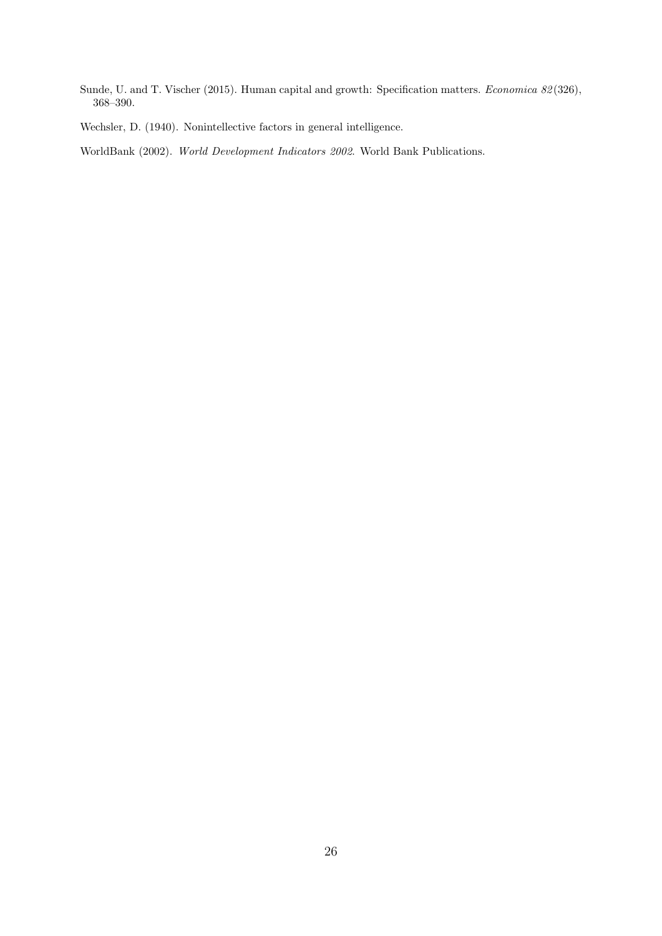<span id="page-27-1"></span>Sunde, U. and T. Vischer (2015). Human capital and growth: Specification matters. Economica 82(326), 368–390.

<span id="page-27-0"></span>Wechsler, D. (1940). Nonintellective factors in general intelligence.

<span id="page-27-2"></span>WorldBank (2002). World Development Indicators 2002. World Bank Publications.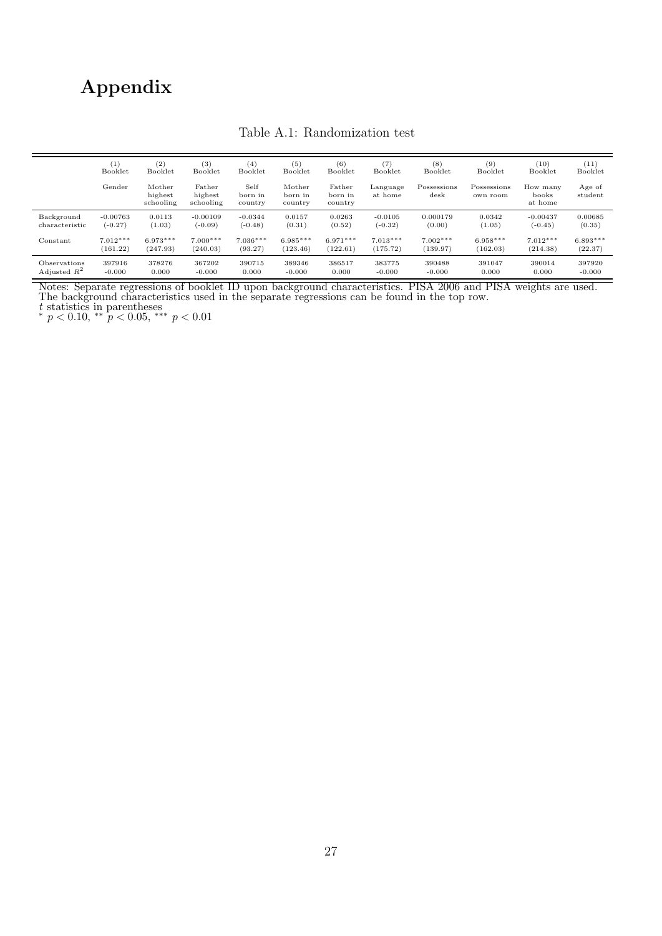# <span id="page-28-0"></span>Appendix

|                | $\left(1\right)$ | (2)                            | (3)                            | (4)                        | (5)                          | (6)                          | (7)                 | (8)                          | (9)                     | (10)                         | (11)              |
|----------------|------------------|--------------------------------|--------------------------------|----------------------------|------------------------------|------------------------------|---------------------|------------------------------|-------------------------|------------------------------|-------------------|
|                | Booklet          | Booklet                        | Booklet                        | Booklet                    | Booklet                      | Booklet                      | Booklet             | Booklet                      | Booklet                 | Booklet                      | Booklet           |
|                | Gender           | Mother<br>highest<br>schooling | Father<br>highest<br>schooling | Self<br>born in<br>country | Mother<br>born in<br>country | Father<br>born in<br>country | Language<br>at home | Possessions<br>$_{\rm desk}$ | Possessions<br>own room | How many<br>books<br>at home | Age of<br>student |
| Background     | $-0.00763$       | 0.0113                         | $-0.00109$                     | $-0.0344$                  | 0.0157                       | 0.0263                       | $-0.0105$           | 0.000179                     | 0.0342                  | $-0.00437$                   | 0.00685           |
| characteristic | $(-0.27)$        | (1.03)                         | $(-0.09)$                      | $(-0.48)$                  | (0.31)                       | (0.52)                       | $(-0.32)$           | (0.00)                       | (1.05)                  | $(-0.45)$                    | (0.35)            |
| Constant       | $7.012***$       | $6.973***$                     | $7.000***$                     | $7.036***$                 | $6.985***$                   | $6.971***$                   | $7.013***$          | $7.002***$                   | $6.958***$              | $7.012***$                   | $6.893***$        |
|                | (161.22)         | (247.93)                       | (240.03)                       | (93.27)                    | (123.46)                     | (122.61)                     | (175.72)            | (139.97)                     | (162.03)                | (214.38)                     | (22.37)           |
| Observations   | 397916           | 378276                         | 367202                         | 390715                     | 389346                       | 386517                       | 383775              | 390488                       | 391047                  | 390014                       | 397920            |
| Adjusted $R^2$ | $-0.000$         | 0.000                          | $-0.000$                       | 0.000                      | $-0.000$                     | 0.000                        | $-0.000$            | $-0.000$                     | 0.000                   | 0.000                        | $-0.000$          |

#### Table A.1: Randomization test

Notes: Separate regressions of booklet ID upon background characteristics. PISA 2006 and PISA weights are used. The background characteristics used in the separate regressions can be found in the top row.

*t* statistics in parentheses<br>\*  $p < 0.10$ , \*\*  $p < 0.05$ , \*\*\*  $p < 0.01$